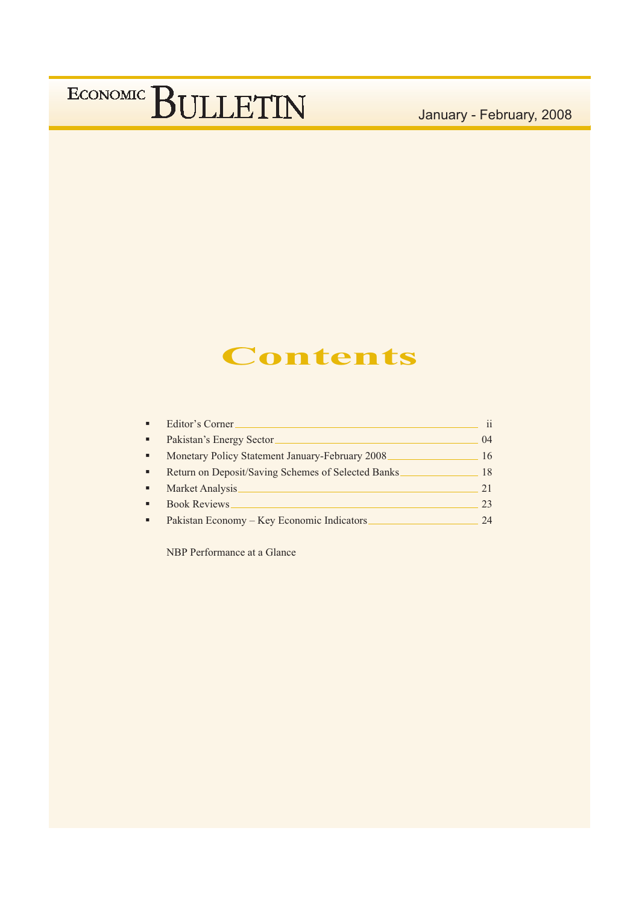January - February, 2008

### **Contents**

| $\mathbf{ii}$                                            |
|----------------------------------------------------------|
| 04                                                       |
| 16<br>Monetary Policy Statement January-February 2008    |
| Return on Deposit/Saving Schemes of Selected Banks<br>18 |
| 21                                                       |
| 23                                                       |
| 24                                                       |
|                                                          |

NBP Performance at a Glance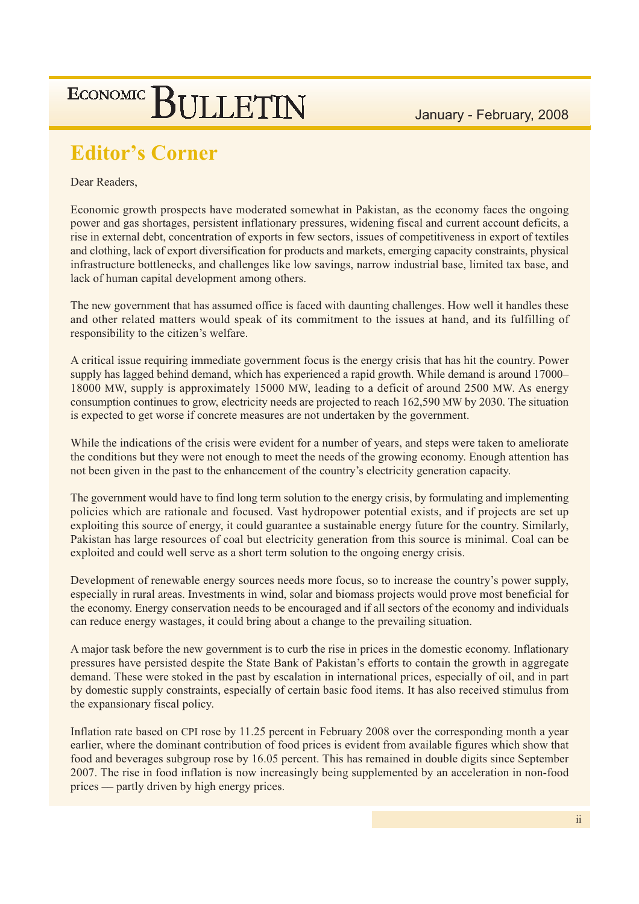January - February, 2008

### **Editor's Corner**

ECONOMIC BULLETIN

Dear Readers,

Economic growth prospects have moderated somewhat in Pakistan, as the economy faces the ongoing power and gas shortages, persistent inflationary pressures, widening fiscal and current account deficits, a rise in external debt, concentration of exports in few sectors, issues of competitiveness in export of textiles and clothing, lack of export diversification for products and markets, emerging capacity constraints, physical infrastructure bottlenecks, and challenges like low savings, narrow industrial base, limited tax base, and lack of human capital development among others.

The new government that has assumed office is faced with daunting challenges. How well it handles these and other related matters would speak of its commitment to the issues at hand, and its fulfilling of responsibility to the citizen's welfare.

A critical issue requiring immediate government focus is the energy crisis that has hit the country. Power supply has lagged behind demand, which has experienced a rapid growth. While demand is around 17000– 18000 MW, supply is approximately 15000 MW, leading to a deficit of around 2500 MW. As energy consumption continues to grow, electricity needs are projected to reach 162,590 MW by 2030. The situation is expected to get worse if concrete measures are not undertaken by the government.

While the indications of the crisis were evident for a number of years, and steps were taken to ameliorate the conditions but they were not enough to meet the needs of the growing economy. Enough attention has not been given in the past to the enhancement of the country's electricity generation capacity.

The government would have to find long term solution to the energy crisis, by formulating and implementing policies which are rationale and focused. Vast hydropower potential exists, and if projects are set up exploiting this source of energy, it could guarantee a sustainable energy future for the country. Similarly, Pakistan has large resources of coal but electricity generation from this source is minimal. Coal can be exploited and could well serve as a short term solution to the ongoing energy crisis.

Development of renewable energy sources needs more focus, so to increase the country's power supply, especially in rural areas. Investments in wind, solar and biomass projects would prove most beneficial for the economy. Energy conservation needs to be encouraged and if all sectors of the economy and individuals can reduce energy wastages, it could bring about a change to the prevailing situation.

A major task before the new government is to curb the rise in prices in the domestic economy. Inflationary pressures have persisted despite the State Bank of Pakistan's efforts to contain the growth in aggregate demand. These were stoked in the past by escalation in international prices, especially of oil, and in part by domestic supply constraints, especially of certain basic food items. It has also received stimulus from the expansionary fiscal policy.

Inflation rate based on CPI rose by 11.25 percent in February 2008 over the corresponding month a year earlier, where the dominant contribution of food prices is evident from available figures which show that food and beverages subgroup rose by 16.05 percent. This has remained in double digits since September 2007. The rise in food inflation is now increasingly being supplemented by an acceleration in non-food prices — partly driven by high energy prices.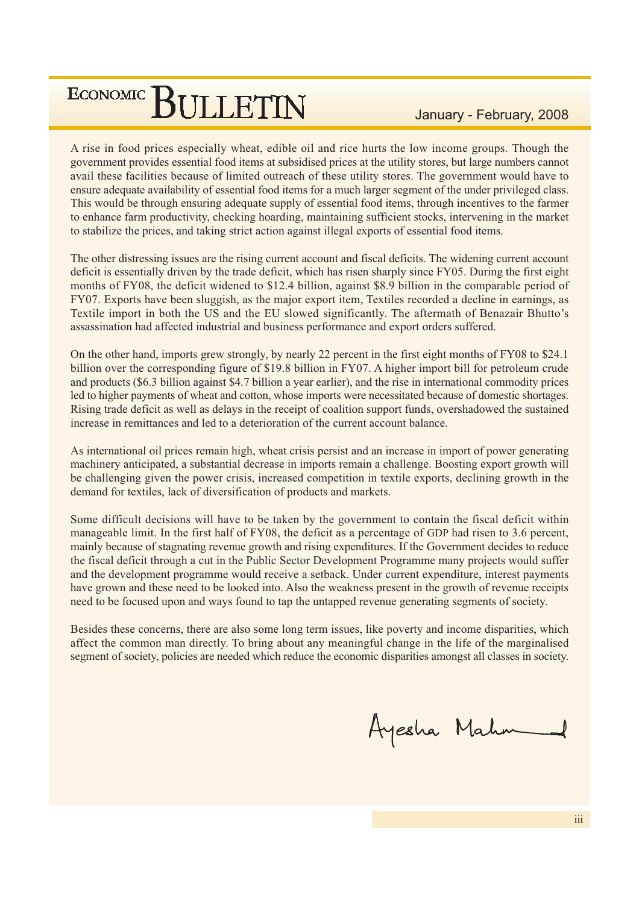January - February, 2008

A rise in food prices especially wheat, edible oil and rice hurts the low income groups. Though the government provides essential food items at subsidised prices at the utility stores, but large numbers cannot avail these facilities because of limited outreach of these utility stores. The government would have to ensure adequate availability of essential food items for a much larger segment of the under privileged class. This would be through ensuring adequate supply of essential food items, through incentives to the farmer to enhance farm productivity, checking hoarding, maintaining sufficient stocks, intervening in the market to stabilize the prices, and taking strict action against illegal exports of essential food items.

The other distressing issues are the rising current account and fiscal deficits. The widening current account deficit is essentially driven by the trade deficit, which has risen sharply since FY05. During the first eight months of FY08, the deficit widened to \$12.4 billion, against \$8.9 billion in the comparable period of FY07. Exports have been sluggish, as the major export item, Textiles recorded a decline in earnings, as Textile import in both the US and the EU slowed significantly. The aftermath of Benazair Bhutto's assassination had affected industrial and business performance and export orders suffered.

On the other hand, imports grew strongly, by nearly 22 percent in the first eight months of FY08 to \$24.1 billion over the corresponding figure of \$19.8 billion in FY07. A higher import bill for petroleum crude and products (\$6.3 billion against \$4.7 billion a year earlier), and the rise in international commodity prices led to higher payments of wheat and cotton, whose imports were necessitated because of domestic shortages. Rising trade deficit as well as delays in the receipt of coalition support funds, overshadowed the sustained increase in remittances and led to a deterioration of the current account balance.

As international oil prices remain high, wheat crisis persist and an increase in import of power generating machinery anticipated, a substantial decrease in imports remain a challenge. Boosting export growth will be challenging given the power crisis, increased competition in textile exports, declining growth in the demand for textiles, lack of diversification of products and markets.

Some difficult decisions will have to be taken by the government to contain the fiscal deficit within manageable limit. In the first half of FY08, the deficit as a percentage of GDP had risen to 3.6 percent, mainly because of stagnating revenue growth and rising expenditures. If the Government decides to reduce the fiscal deficit through a cut in the Public Sector Development Programme many projects would suffer and the development programme would receive a setback. Under current expenditure, interest payments have grown and these need to be looked into. Also the weakness present in the growth of revenue receipts need to be focused upon and ways found to tap the untapped revenue generating segments of society.

Besides these concerns, there are also some long term issues, like poverty and income disparities, which affect the common man directly. To bring about any meaningful change in the life of the marginalised segment of society, policies are needed which reduce the economic disparities amongst all classes in society.

Ayesha Mahr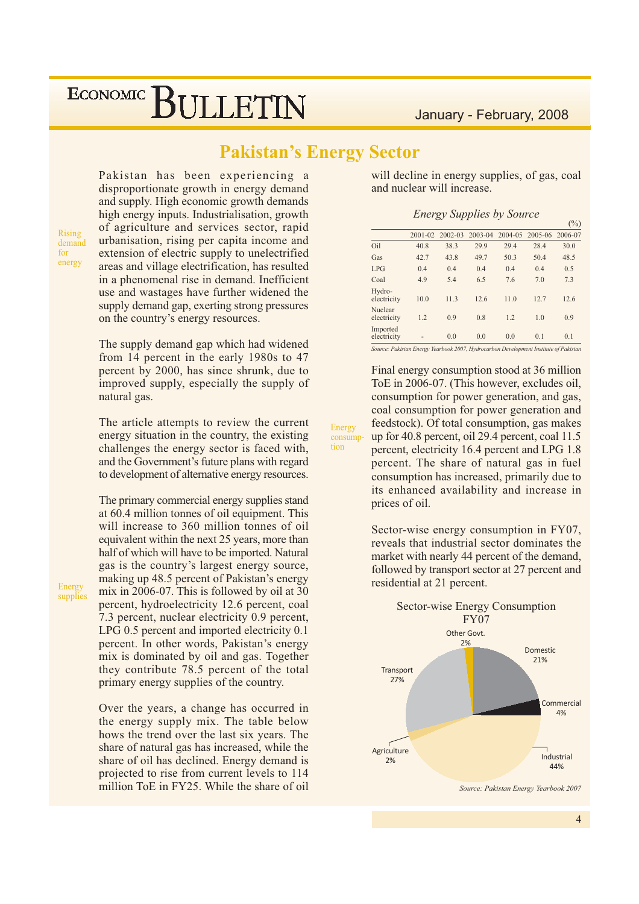### **Pakistan's Energy Sector**

Energy

consumption

Pakistan has been experiencing a disproportionate growth in energy demand and supply. High economic growth demands high energy inputs. Industrialisation, growth of agriculture and services sector, rapid urbanisation, rising per capita income and extension of electric supply to unelectrified areas and village electrification, has resulted in a phenomenal rise in demand. Inefficient use and wastages have further widened the supply demand gap, exerting strong pressures on the country's energy resources.

The supply demand gap which had widened from 14 percent in the early 1980s to 47 percent by 2000, has since shrunk, due to improved supply, especially the supply of natural gas.

The article attempts to review the current energy situation in the country, the existing challenges the energy sector is faced with, and the Government's future plans with regard to development of alternative energy resources.

The primary commercial energy supplies stand at 60.4 million tonnes of oil equipment. This will increase to 360 million tonnes of oil equivalent within the next 25 years, more than half of which will have to be imported. Natural gas is the country's largest energy source, making up 48.5 percent of Pakistan's energy mix in 2006-07. This is followed by oil at 30 percent, hydroelectricity 12.6 percent, coal 7.3 percent, nuclear electricity 0.9 percent, LPG 0.5 percent and imported electricity 0.1 percent. In other words, Pakistan's energy mix is dominated by oil and gas. Together they contribute 78.5 percent of the total primary energy supplies of the country.

Over the years, a change has occurred in the energy supply mix. The table below hows the trend over the last six years. The share of natural gas has increased, while the share of oil has declined. Energy demand is projected to rise from current levels to 114 million ToE in FY25. While the share of oil

will decline in energy supplies, of gas, coal and nuclear will increase.

|  | <b>Energy Supplies by Source</b> |  |  |  |
|--|----------------------------------|--|--|--|
|--|----------------------------------|--|--|--|

|                         |         |             |         |         |         | $(\%)$  |
|-------------------------|---------|-------------|---------|---------|---------|---------|
|                         | 2001-02 | $2002 - 03$ | 2003-04 | 2004-05 | 2005-06 | 2006-07 |
| Oil                     | 40.8    | 38.3        | 29.9    | 29.4    | 28.4    | 30.0    |
| Gas                     | 42.7    | 43.8        | 49.7    | 50.3    | 50.4    | 48.5    |
| LPG                     | 0.4     | 0.4         | 0.4     | 0.4     | 0.4     | 0.5     |
| Coal                    | 4.9     | 5.4         | 6.5     | 7.6     | 7.0     | 7.3     |
| Hydro-<br>electricity   | 10.0    | 11.3        | 12.6    | 11.0    | 12.7    | 12.6    |
| Nuclear<br>electricity  | 1.2     | 0.9         | 0.8     | 1.2     | 1.0     | 0.9     |
| Imported<br>electricity |         | 0.0         | 0.0     | 0.0     | 0.1     | 0.1     |

Source: Pakistan Energy Yearbook 2007, Hydrocarbon Development Institute of Pakistan

Final energy consumption stood at 36 million ToE in 2006-07. (This however, excludes oil, consumption for power generation, and gas, coal consumption for power generation and feedstock). Of total consumption, gas makes up for 40.8 percent, oil 29.4 percent, coal 11.5 percent, electricity 16.4 percent and LPG 1.8 percent. The share of natural gas in fuel consumption has increased, primarily due to its enhanced availability and increase in prices of oil.

Sector-wise energy consumption in FY07, reveals that industrial sector dominates the market with nearly 44 percent of the demand, followed by transport sector at 27 percent and residential at 21 percent.



Source: Pakistan Energy Yearbook 2007

**Rising** 

demand for

energy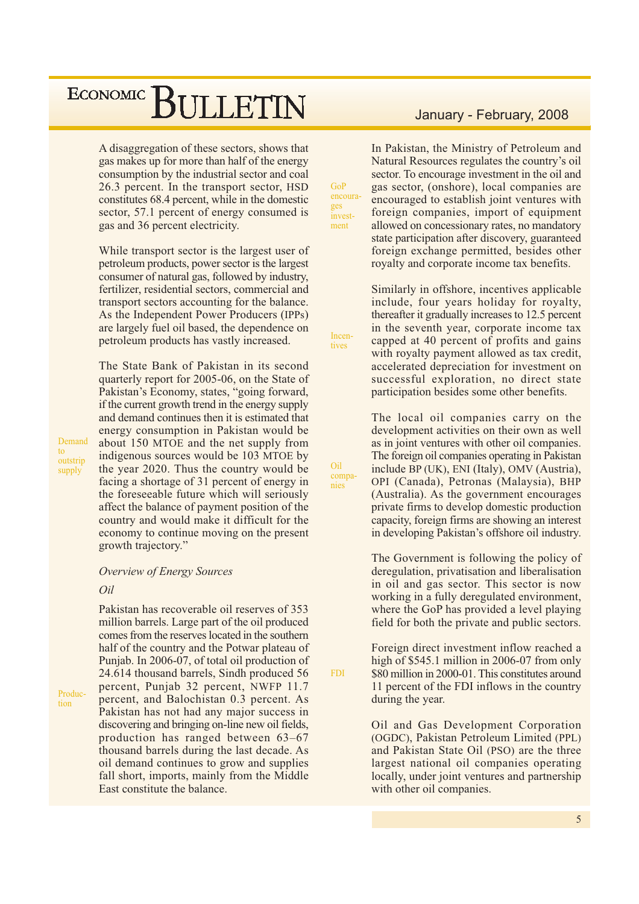A disaggregation of these sectors, shows that gas makes up for more than half of the energy consumption by the industrial sector and coal 26.3 percent. In the transport sector, HSD constitutes 68.4 percent, while in the domestic sector, 57.1 percent of energy consumed is gas and 36 percent electricity.

 $GoP$ 

ges

encoura-

invest-

ment

Incen-

tives

Oil

nies

**FDI** 

compa-

While transport sector is the largest user of petroleum products, power sector is the largest consumer of natural gas, followed by industry, fertilizer, residential sectors, commercial and transport sectors accounting for the balance. As the Independent Power Producers (IPPs) are largely fuel oil based, the dependence on petroleum products has vastly increased.

The State Bank of Pakistan in its second quarterly report for 2005-06, on the State of Pakistan's Economy, states, "going forward, if the current growth trend in the energy supply and demand continues then it is estimated that energy consumption in Pakistan would be about 150 MTOE and the net supply from indigenous sources would be 103 MTOE by the year 2020. Thus the country would be facing a shortage of 31 percent of energy in the foreseeable future which will seriously affect the balance of payment position of the country and would make it difficult for the economy to continue moving on the present growth trajectory."

**Overview of Energy Sources** 

#### Oil

Pakistan has recoverable oil reserves of 353 million barrels. Large part of the oil produced comes from the reserves located in the southern half of the country and the Potwar plateau of Punjab. In 2006-07, of total oil production of 24.614 thousand barrels, Sindh produced 56 percent, Punjab 32 percent, NWFP 11.7 percent, and Balochistan 0.3 percent. As Pakistan has not had any major success in discovering and bringing on-line new oil fields, production has ranged between 63-67 thousand barrels during the last decade. As oil demand continues to grow and supplies fall short, imports, mainly from the Middle East constitute the balance.

In Pakistan, the Ministry of Petroleum and Natural Resources regulates the country's oil sector. To encourage investment in the oil and gas sector, (onshore), local companies are encouraged to establish joint ventures with foreign companies, import of equipment allowed on concessionary rates, no mandatory state participation after discovery, guaranteed foreign exchange permitted, besides other royalty and corporate income tax benefits.

Similarly in offshore, incentives applicable include, four years holiday for royalty, thereafter it gradually increases to 12.5 percent in the seventh year, corporate income tax capped at 40 percent of profits and gains with royalty payment allowed as tax credit, accelerated depreciation for investment on successful exploration, no direct state participation besides some other benefits.

The local oil companies carry on the development activities on their own as well as in joint ventures with other oil companies. The foreign oil companies operating in Pakistan include BP (UK), ENI (Italy), OMV (Austria), OPI (Canada), Petronas (Malaysia), BHP (Australia). As the government encourages private firms to develop domestic production capacity, foreign firms are showing an interest in developing Pakistan's offshore oil industry.

The Government is following the policy of deregulation, privatisation and liberalisation in oil and gas sector. This sector is now working in a fully deregulated environment, where the GoP has provided a level playing field for both the private and public sectors.

Foreign direct investment inflow reached a high of  $$545.1$  million in 2006-07 from only \$80 million in 2000-01. This constitutes around 11 percent of the FDI inflows in the country during the year.

Oil and Gas Development Corporation (OGDC), Pakistan Petroleum Limited (PPL) and Pakistan State Oil (PSO) are the three largest national oil companies operating locally, under joint ventures and partnership with other oil companies.

outstrip supply

Demand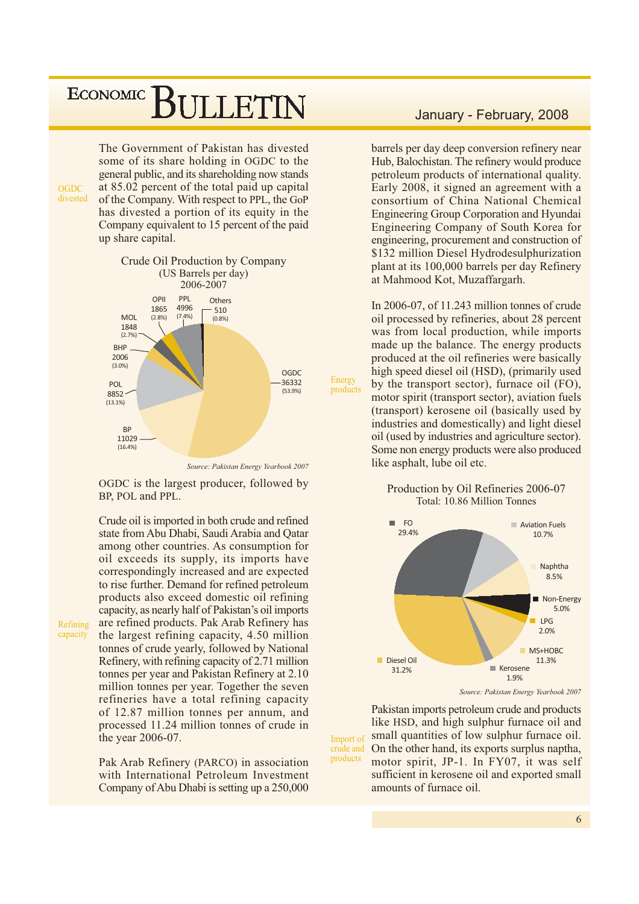The Government of Pakistan has divested some of its share holding in OGDC to the general public, and its shareholding now stands at 85.02 percent of the total paid up capital of the Company. With respect to PPL, the GoP has divested a portion of its equity in the Company equivalent to 15 percent of the paid up share capital.



OGDC is the largest producer, followed by BP, POL and PPL.

Crude oil is imported in both crude and refined state from Abu Dhabi, Saudi Arabia and Oatar among other countries. As consumption for oil exceeds its supply, its imports have correspondingly increased and are expected to rise further. Demand for refined petroleum products also exceed domestic oil refining capacity, as nearly half of Pakistan's oil imports are refined products. Pak Arab Refinery has the largest refining capacity, 4.50 million tonnes of crude yearly, followed by National Refinery, with refining capacity of 2.71 million tonnes per year and Pakistan Refinery at 2.10 million tonnes per year. Together the seven refineries have a total refining capacity of 12.87 million tonnes per annum, and processed 11.24 million tonnes of crude in the year 2006-07.

Pak Arab Refinery (PARCO) in association with International Petroleum Investment Company of Abu Dhabi is setting up a 250,000

#### January - February, 2008

barrels per day deep conversion refinery near Hub, Balochistan. The refinery would produce petroleum products of international quality. Early 2008, it signed an agreement with a consortium of China National Chemical Engineering Group Corporation and Hyundai Engineering Company of South Korea for engineering, procurement and construction of \$132 million Diesel Hydrodesulphurization plant at its 100,000 barrels per day Refinery at Mahmood Kot, Muzaffargarh.

In 2006-07, of 11.243 million tonnes of crude oil processed by refineries, about 28 percent was from local production, while imports made up the balance. The energy products produced at the oil refineries were basically high speed diesel oil (HSD), (primarily used by the transport sector), furnace oil (FO), motor spirit (transport sector), aviation fuels (transport) kerosene oil (basically used by industries and domestically) and light diesel oil (used by industries and agriculture sector). Some non energy products were also produced like asphalt, lube oil etc.

Production by Oil Refineries 2006-07 Total: 10.86 Million Tonnes



Source: Pakistan Energy Yearbook 2007

Pakistan imports petroleum crude and products like HSD, and high sulphur furnace oil and small quantities of low sulphur furnace oil. Import of On the other hand, its exports surplus naptha, crude and products motor spirit, JP-1. In FY07, it was self sufficient in kerosene oil and exported small amounts of furnace oil.

Refining capacity

 $OGDC$ divested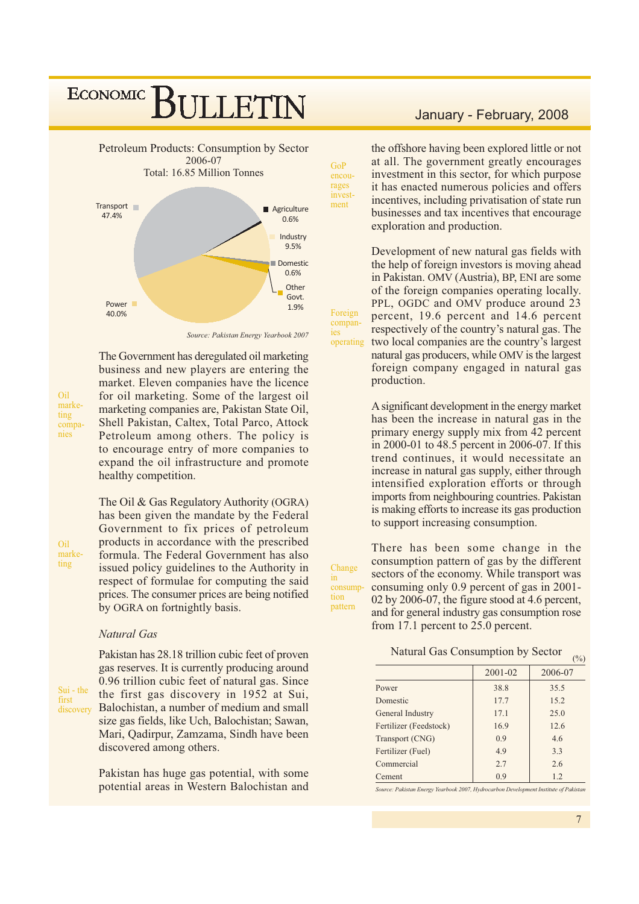

The Government has deregulated oil marketing

business and new players are entering the

market. Eleven companies have the licence

for oil marketing. Some of the largest oil

marketing companies are, Pakistan State Oil,

Shell Pakistan, Caltex, Total Parco, Attock

Petroleum among others. The policy is

to encourage entry of more companies to

expand the oil infrastructure and promote

Source: Pakistan Energy Yearbook 2007

Oil marketing companies

Oil

ting

marke-

healthy competition. The Oil & Gas Regulatory Authority (OGRA) has been given the mandate by the Federal Government to fix prices of petroleum products in accordance with the prescribed formula. The Federal Government has also issued policy guidelines to the Authority in respect of formulae for computing the said prices. The consumer prices are being notified by OGRA on fortnightly basis.

#### Natural Gas

Sui - the first discovery Pakistan has 28.18 trillion cubic feet of proven gas reserves. It is currently producing around 0.96 trillion cubic feet of natural gas. Since the first gas discovery in 1952 at Sui, Balochistan, a number of medium and small size gas fields, like Uch, Balochistan; Sawan, Mari, Qadirpur, Zamzama, Sindh have been discovered among others.

Pakistan has huge gas potential, with some potential areas in Western Balochistan and

#### January - February, 2008

the offshore having been explored little or not at all. The government greatly encourages investment in this sector, for which purpose it has enacted numerous policies and offers incentives, including privatisation of state run businesses and tax incentives that encourage exploration and production.

Development of new natural gas fields with the help of foreign investors is moving ahead in Pakistan. OMV (Austria), BP, ENI are some of the foreign companies operating locally. PPL, OGDC and OMV produce around 23 percent, 19.6 percent and 14.6 percent respectively of the country's natural gas. The operating two local companies are the country's largest natural gas producers, while OMV is the largest foreign company engaged in natural gas production.

> A significant development in the energy market has been the increase in natural gas in the primary energy supply mix from 42 percent in 2000-01 to 48.5 percent in 2006-07. If this trend continues, it would necessitate an increase in natural gas supply, either through intensified exploration efforts or through imports from neighbouring countries. Pakistan is making efforts to increase its gas production to support increasing consumption.

Change in consumption nattern

GoP

encourages

invest-

Foreign

compan-

ies

ment

There has been some change in the consumption pattern of gas by the different sectors of the economy. While transport was consuming only 0.9 percent of gas in 2001-02 by 2006-07, the figure stood at 4.6 percent, and for general industry gas consumption rose from 17.1 percent to 25.0 percent.

Natural Gas Consumption by Sector

|                        |         | $\cdots$ |
|------------------------|---------|----------|
|                        | 2001-02 | 2006-07  |
| Power                  | 38.8    | 35.5     |
| Domestic               | 17.7    | 15.2     |
| General Industry       | 17.1    | 25.0     |
| Fertilizer (Feedstock) | 16.9    | 12.6     |
| Transport (CNG)        | 0.9     | 4.6      |
| Fertilizer (Fuel)      | 4.9     | 3.3      |
| Commercial             | 2.7     | 2.6      |
| Cement                 | 0.9     | 1.2      |

ource: Pakistan Energy Yearbook 2007, Hydrocarbon Development Institute of Pakistan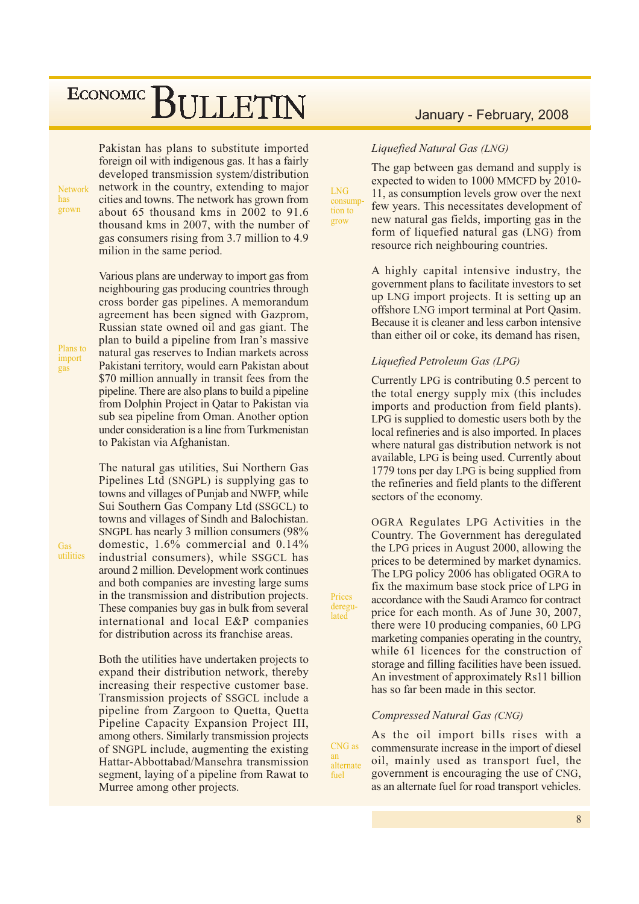**Network** has. grown

Pakistan has plans to substitute imported foreign oil with indigenous gas. It has a fairly developed transmission system/distribution network in the country, extending to major cities and towns. The network has grown from about 65 thousand kms in 2002 to 91.6 thousand kms in 2007, with the number of gas consumers rising from 3.7 million to 4.9 milion in the same period.

Various plans are underway to import gas from neighbouring gas producing countries through cross border gas pipelines. A memorandum agreement has been signed with Gazprom, Russian state owned oil and gas giant. The plan to build a pipeline from Iran's massive natural gas reserves to Indian markets across Pakistani territory, would earn Pakistan about \$70 million annually in transit fees from the pipeline. There are also plans to build a pipeline from Dolphin Project in Qatar to Pakistan via sub sea pipeline from Oman. Another option under consideration is a line from Turkmenistan to Pakistan via Afghanistan.

The natural gas utilities, Sui Northern Gas Pipelines Ltd (SNGPL) is supplying gas to towns and villages of Punjab and NWFP, while Sui Southern Gas Company Ltd (SSGCL) to towns and villages of Sindh and Balochistan. SNGPL has nearly 3 million consumers (98%) domestic,  $1.6\%$  commercial and  $0.14\%$ industrial consumers), while SSGCL has around 2 million. Development work continues and both companies are investing large sums in the transmission and distribution projects. These companies buy gas in bulk from several international and local E&P companies for distribution across its franchise areas.

Both the utilities have undertaken projects to expand their distribution network, thereby increasing their respective customer base. Transmission projects of SSGCL include a pipeline from Zargoon to Quetta, Quetta Pipeline Capacity Expansion Project III, among others. Similarly transmission projects of SNGPL include, augmenting the existing Hattar-Abbottabad/Mansehra transmission segment, laying of a pipeline from Rawat to Murree among other projects.

#### January - February, 2008

#### Liquefied Natural Gas (LNG)

 $LNG$ 

consump

tion to

Prices

deregu-

lated

an

fuel

grow

The gap between gas demand and supply is expected to widen to 1000 MMCFD by 2010-11, as consumption levels grow over the next few years. This necessitates development of new natural gas fields, importing gas in the form of liquefied natural gas (LNG) from resource rich neighbouring countries.

A highly capital intensive industry, the government plans to facilitate investors to set up LNG import projects. It is setting up an offshore LNG import terminal at Port Qasim. Because it is cleaner and less carbon intensive than either oil or coke, its demand has risen.

#### Liquefied Petroleum Gas (LPG)

Currently LPG is contributing 0.5 percent to the total energy supply mix (this includes imports and production from field plants). LPG is supplied to domestic users both by the local refineries and is also imported. In places where natural gas distribution network is not available, LPG is being used. Currently about 1779 tons per day LPG is being supplied from the refineries and field plants to the different sectors of the economy.

OGRA Regulates LPG Activities in the Country. The Government has deregulated the LPG prices in August 2000, allowing the prices to be determined by market dynamics. The LPG policy 2006 has obligated OGRA to fix the maximum base stock price of LPG in accordance with the Saudi Aramco for contract price for each month. As of June 30, 2007, there were 10 producing companies, 60 LPG marketing companies operating in the country, while 61 licences for the construction of storage and filling facilities have been issued. An investment of approximately Rs11 billion has so far been made in this sector.

#### Compressed Natural Gas (CNG)

As the oil import bills rises with a CNG as commensurate increase in the import of diesel oil, mainly used as transport fuel, the alternate government is encouraging the use of CNG, as an alternate fuel for road transport vehicles.

Plans to

import

 $\overline{gas}$ 

Gas utilities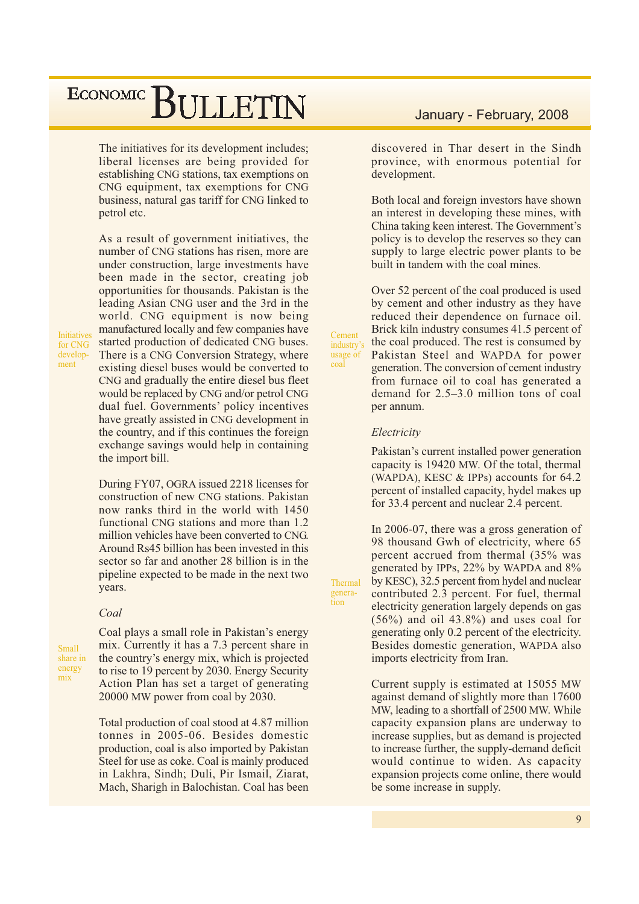The initiatives for its development includes; liberal licenses are being provided for establishing CNG stations, tax exemptions on CNG equipment, tax exemptions for CNG business, natural gas tariff for CNG linked to petrol etc.

As a result of government initiatives, the number of CNG stations has risen, more are under construction, large investments have been made in the sector, creating job opportunities for thousands. Pakistan is the leading Asian CNG user and the 3rd in the world. CNG equipment is now being manufactured locally and few companies have started production of dedicated CNG buses. There is a CNG Conversion Strategy, where existing diesel buses would be converted to CNG and gradually the entire diesel bus fleet would be replaced by CNG and/or petrol CNG dual fuel. Governments' policy incentives have greatly assisted in CNG development in the country, and if this continues the foreign exchange savings would help in containing the import bill.

**Initiatives** for CNG development

> During FY07, OGRA issued 2218 licenses for construction of new CNG stations. Pakistan now ranks third in the world with 1450 functional CNG stations and more than 1.2 million vehicles have been converted to CNG. Around Rs45 billion has been invested in this sector so far and another 28 billion is in the pipeline expected to be made in the next two years.

#### Coal

**Small** share in energy mix

Coal plays a small role in Pakistan's energy mix. Currently it has a 7.3 percent share in the country's energy mix, which is projected to rise to 19 percent by 2030. Energy Security Action Plan has set a target of generating 20000 MW power from coal by 2030.

Total production of coal stood at 4.87 million tonnes in 2005-06. Besides domestic production, coal is also imported by Pakistan Steel for use as coke. Coal is mainly produced in Lakhra, Sindh; Duli, Pir Ismail, Ziarat, Mach, Sharigh in Balochistan. Coal has been

#### January - February, 2008

discovered in Thar desert in the Sindh province, with enormous potential for development.

Both local and foreign investors have shown an interest in developing these mines, with China taking keen interest. The Government's policy is to develop the reserves so they can supply to large electric power plants to be built in tandem with the coal mines.

Over 52 percent of the coal produced is used by cement and other industry as they have reduced their dependence on furnace oil. Brick kiln industry consumes 41.5 percent of the coal produced. The rest is consumed by Pakistan Steel and WAPDA for power generation. The conversion of cement industry from furnace oil to coal has generated a demand for  $2.5-3.0$  million tons of coal per annum.

#### Electricity

Cement

industry's

usage of

Thermal

genera-

tion

coal

Pakistan's current installed power generation capacity is 19420 MW. Of the total, thermal (WAPDA), KESC  $&$  IPPs) accounts for 64.2 percent of installed capacity, hydel makes up for 33.4 percent and nuclear 2.4 percent.

In 2006-07, there was a gross generation of 98 thousand Gwh of electricity, where 65 percent accrued from thermal (35% was generated by IPPs, 22% by WAPDA and 8% by KESC), 32.5 percent from hydel and nuclear contributed 2.3 percent. For fuel, thermal electricity generation largely depends on gas  $(56\%)$  and oil 43.8%) and uses coal for generating only 0.2 percent of the electricity. Besides domestic generation, WAPDA also imports electricity from Iran.

Current supply is estimated at 15055 MW against demand of slightly more than 17600 MW, leading to a shortfall of 2500 MW. While capacity expansion plans are underway to increase supplies, but as demand is projected to increase further, the supply-demand deficit would continue to widen. As capacity expansion projects come online, there would be some increase in supply.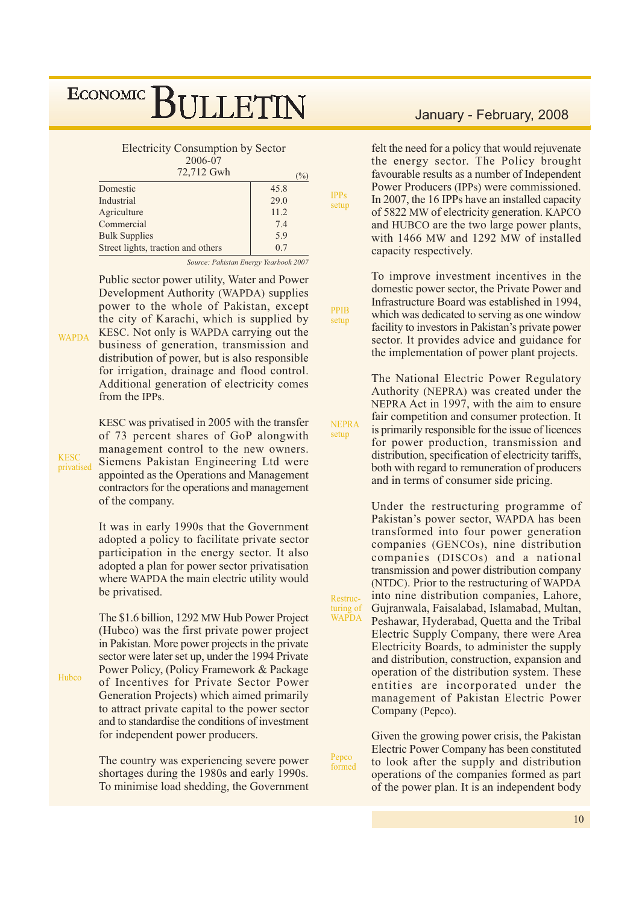**Electricity Consumption by Sector** 

 $2006 - 07$ 

| 72,712 Gwh                         | $\frac{9}{0}$ |
|------------------------------------|---------------|
| Domestic                           | 45.8          |
| Industrial                         | 29.0          |
| Agriculture                        | 11.2          |
| Commercial                         | 7.4           |
| <b>Bulk Supplies</b>               | 5.9           |
| Street lights, traction and others | 0.7           |

Source: Pakistan Energy Yearbook 2007

**IPPs** 

setup

**PPIB** 

setup

setup

Pepco

formed

Public sector power utility, Water and Power Development Authority (WAPDA) supplies power to the whole of Pakistan, except the city of Karachi, which is supplied by KESC. Not only is WAPDA carrying out the business of generation, transmission and distribution of power, but is also responsible for irrigation, drainage and flood control. Additional generation of electricity comes from the IPPs.

KESC was privatised in 2005 with the transfer of 73 percent shares of GoP alongwith management control to the new owners. Siemens Pakistan Engineering Ltd were appointed as the Operations and Management contractors for the operations and management of the company.

It was in early 1990s that the Government adopted a policy to facilitate private sector participation in the energy sector. It also adopted a plan for power sector privatisation where WAPDA the main electric utility would be privatised.

The \$1.6 billion, 1292 MW Hub Power Project (Hubco) was the first private power project in Pakistan. More power projects in the private sector were later set up, under the 1994 Private Power Policy, (Policy Framework & Package of Incentives for Private Sector Power Generation Projects) which aimed primarily to attract private capital to the power sector and to standardise the conditions of investment for independent power producers.

The country was experiencing severe power shortages during the 1980s and early 1990s. To minimise load shedding, the Government

#### January - February, 2008

felt the need for a policy that would rejuvenate the energy sector. The Policy brought favourable results as a number of Independent Power Producers (IPPs) were commissioned. In 2007, the 16 IPPs have an installed capacity of 5822 MW of electricity generation. KAPCO and HUBCO are the two large power plants, with 1466 MW and 1292 MW of installed capacity respectively.

To improve investment incentives in the domestic power sector, the Private Power and Infrastructure Board was established in 1994, which was dedicated to serving as one window facility to investors in Pakistan's private power sector. It provides advice and guidance for the implementation of power plant projects.

The National Electric Power Regulatory Authority (NEPRA) was created under the NEPRA Act in 1997, with the aim to ensure fair competition and consumer protection. It **NEPRA** is primarily responsible for the issue of licences for power production, transmission and distribution, specification of electricity tariffs. both with regard to remuneration of producers and in terms of consumer side pricing.

Under the restructuring programme of Pakistan's power sector, WAPDA has been transformed into four power generation companies (GENCOs), nine distribution companies (DISCOs) and a national transmission and power distribution company (NTDC). Prior to the restructuring of WAPDA into nine distribution companies, Lahore, Restructuring of<br>WAPDA Gujranwala, Faisalabad, Islamabad, Multan, Peshawar, Hyderabad, Quetta and the Tribal Electric Supply Company, there were Area Electricity Boards, to administer the supply and distribution, construction, expansion and operation of the distribution system. These entities are incorporated under the management of Pakistan Electric Power Company (Pepco).

> Given the growing power crisis, the Pakistan Electric Power Company has been constituted to look after the supply and distribution operations of the companies formed as part of the power plan. It is an independent body

**KESC** privatised

**WAPDA** 

Hubco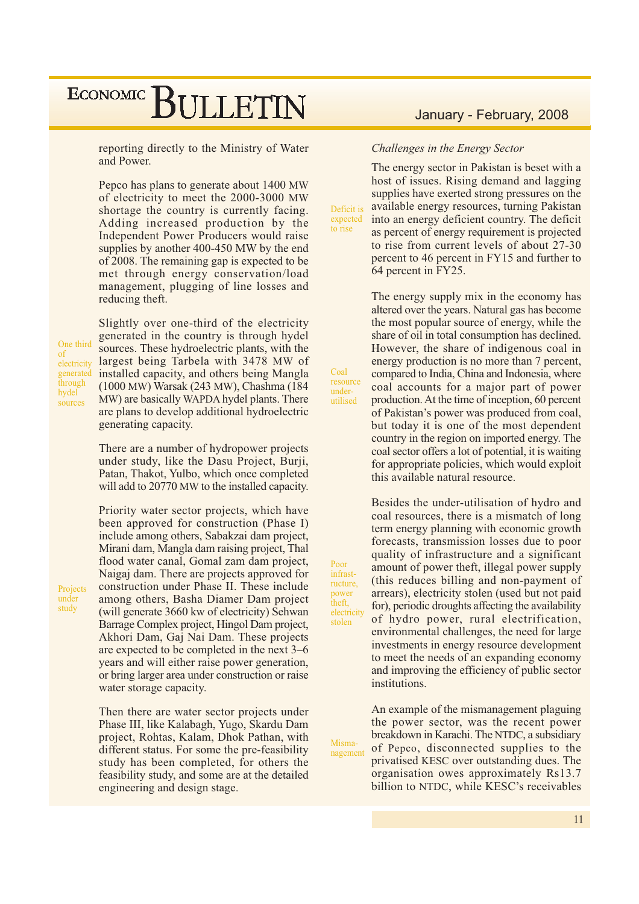reporting directly to the Ministry of Water and Power.

Pepco has plans to generate about 1400 MW of electricity to meet the 2000-3000 MW shortage the country is currently facing. Adding increased production by the Independent Power Producers would raise supplies by another 400-450 MW by the end of 2008. The remaining gap is expected to be met through energy conservation/load management, plugging of line losses and reducing theft.

One third of electricity generated through hydel sources

Projects

under

study

Slightly over one-third of the electricity generated in the country is through hydel sources. These hydroelectric plants, with the largest being Tarbela with 3478 MW of installed capacity, and others being Mangla (1000 MW) Warsak (243 MW), Chashma (184 MW) are basically WAPDA hydel plants. There are plans to develop additional hydroelectric generating capacity.

There are a number of hydropower projects under study, like the Dasu Project, Burji, Patan, Thakot, Yulbo, which once completed will add to 20770 MW to the installed capacity.

Priority water sector projects, which have been approved for construction (Phase I) include among others. Sabakzai dam project. Mirani dam, Mangla dam raising project, Thal flood water canal, Gomal zam dam project, Naigaj dam. There are projects approved for construction under Phase II. These include among others, Basha Diamer Dam project (will generate 3660 kw of electricity) Sehwan Barrage Complex project, Hingol Dam project, Akhori Dam, Gaj Nai Dam. These projects are expected to be completed in the next 3–6 years and will either raise power generation, or bring larger area under construction or raise water storage capacity.

Then there are water sector projects under Phase III, like Kalabagh, Yugo, Skardu Dam project, Rohtas, Kalam, Dhok Pathan, with different status. For some the pre-feasibility study has been completed, for others the feasibility study, and some are at the detailed engineering and design stage.

### January - February, 2008

#### Challenges in the Energy Sector

to rise

Coal

resource

under-

utilised

Poor

infrast-

ructure,

Misma-

The energy sector in Pakistan is beset with a host of issues. Rising demand and lagging supplies have exerted strong pressures on the available energy resources, turning Pakistan Deficit is expected into an energy deficient country. The deficit as percent of energy requirement is projected to rise from current levels of about 27-30 percent to 46 percent in FY15 and further to 64 percent in FY25.

> The energy supply mix in the economy has altered over the years. Natural gas has become the most popular source of energy, while the share of oil in total consumption has declined. However, the share of indigenous coal in energy production is no more than 7 percent. compared to India, China and Indonesia, where coal accounts for a major part of power production. At the time of inception, 60 percent of Pakistan's power was produced from coal, but today it is one of the most dependent country in the region on imported energy. The coal sector offers a lot of potential, it is waiting for appropriate policies, which would exploit this available natural resource.

> Besides the under-utilisation of hydro and coal resources, there is a mismatch of long term energy planning with economic growth forecasts, transmission losses due to poor quality of infrastructure and a significant amount of power theft, illegal power supply (this reduces billing and non-payment of arrears), electricity stolen (used but not paid for), periodic droughts affecting the availability of hydro power, rural electrification, environmental challenges, the need for large investments in energy resource development to meet the needs of an expanding economy and improving the efficiency of public sector institutions.

An example of the mismanagement plaguing the power sector, was the recent power breakdown in Karachi. The NTDC, a subsidiary of Pepco, disconnected supplies to the nagement privatised KESC over outstanding dues. The organisation owes approximately Rs13.7 billion to NTDC, while KESC's receivables

power theft. electricity stolen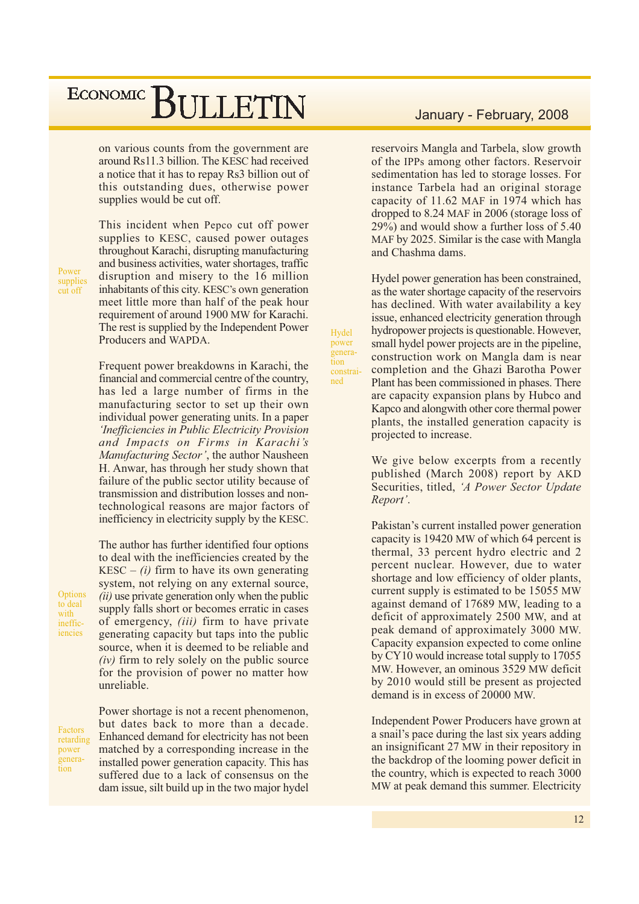on various counts from the government are around Rs11.3 billion. The KESC had received a notice that it has to repay Rs3 billion out of this outstanding dues, otherwise power supplies would be cut off.

This incident when Pepco cut off power supplies to KESC, caused power outages throughout Karachi, disrupting manufacturing and business activities, water shortages, traffic disruption and misery to the 16 million inhabitants of this city. KESC's own generation meet little more than half of the peak hour requirement of around 1900 MW for Karachi. The rest is supplied by the Independent Power Producers and WAPDA.

Frequent power breakdowns in Karachi, the financial and commercial centre of the country, has led a large number of firms in the manufacturing sector to set up their own individual power generating units. In a paper *Inefficiencies in Public Electricity Provision* and Impacts on Firms in Karachi's Manufacturing Sector', the author Nausheen H. Anwar, has through her study shown that failure of the public sector utility because of transmission and distribution losses and nontechnological reasons are major factors of inefficiency in electricity supply by the KESC.

The author has further identified four options to deal with the inefficiencies created by the KESC – (i) firm to have its own generating system, not relying on any external source, *(ii)* use private generation only when the public supply falls short or becomes erratic in cases of emergency, *(iii)* firm to have private generating capacity but taps into the public source, when it is deemed to be reliable and  $(iv)$  firm to rely solely on the public source for the provision of power no matter how unreliable.

Factors retarding power generation

Options

to deal

ineffic-

iencies

with

Power shortage is not a recent phenomenon, but dates back to more than a decade. Enhanced demand for electricity has not been matched by a corresponding increase in the installed power generation capacity. This has suffered due to a lack of consensus on the dam issue, silt build up in the two major hydel

#### January - February, 2008

reservoirs Mangla and Tarbela, slow growth of the IPPs among other factors. Reservoir sedimentation has led to storage losses. For instance Tarbela had an original storage capacity of 11.62 MAF in 1974 which has dropped to 8.24 MAF in 2006 (storage loss of 29%) and would show a further loss of 5.40 MAF by 2025. Similar is the case with Mangla and Chashma dams.

Hydel power generation has been constrained, as the water shortage capacity of the reservoirs has declined. With water availability a key issue, enhanced electricity generation through hydropower projects is questionable. However, small hydel power projects are in the pipeline, construction work on Mangla dam is near completion and the Ghazi Barotha Power Plant has been commissioned in phases. There are capacity expansion plans by Hubco and Kapco and alongwith other core thermal power plants, the installed generation capacity is projected to increase.

Hydel

power

tion

ned

genera-

constrai-

We give below excerpts from a recently published (March 2008) report by AKD Securities, titled, 'A Power Sector Update Report'.

Pakistan's current installed power generation capacity is 19420 MW of which 64 percent is thermal, 33 percent hydro electric and 2 percent nuclear. However, due to water shortage and low efficiency of older plants, current supply is estimated to be 15055 MW against demand of 17689 MW, leading to a deficit of approximately 2500 MW, and at peak demand of approximately 3000 MW. Capacity expansion expected to come online by CY10 would increase total supply to 17055 MW. However, an ominous 3529 MW deficit by 2010 would still be present as projected demand is in excess of 20000 MW.

Independent Power Producers have grown at a snail's pace during the last six years adding an insignificant 27 MW in their repository in the backdrop of the looming power deficit in the country, which is expected to reach 3000 MW at peak demand this summer. Electricity

supplies cut off

Power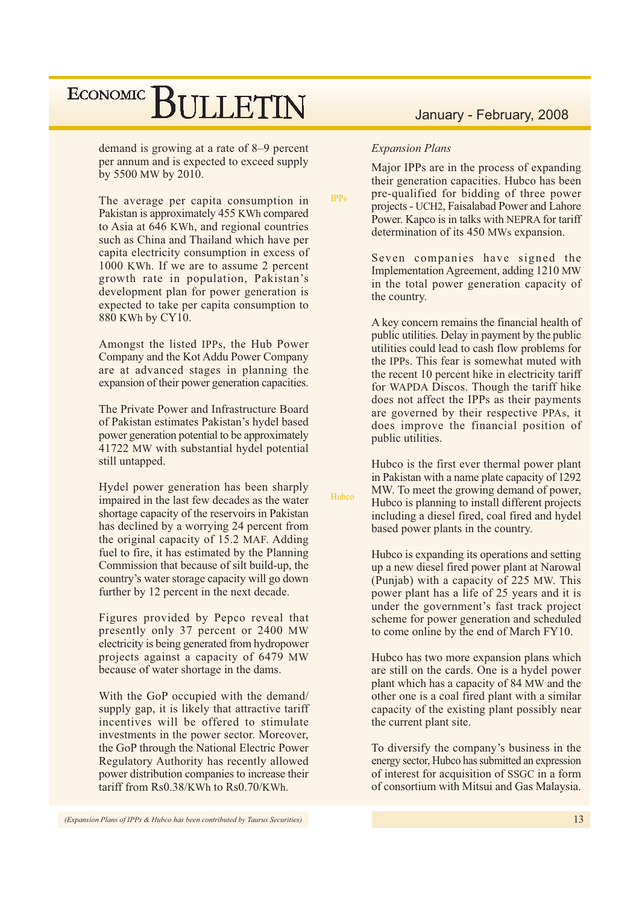demand is growing at a rate of 8–9 percent per annum and is expected to exceed supply by 5500 MW by 2010.

The average per capita consumption in Pakistan is approximately 455 KWh compared to Asia at 646 KWh, and regional countries such as China and Thailand which have per capita electricity consumption in excess of 1000 KWh. If we are to assume 2 percent growth rate in population, Pakistan's development plan for power generation is expected to take per capita consumption to 880 KWh by CY10.

Amongst the listed IPPs, the Hub Power Company and the Kot Addu Power Company are at advanced stages in planning the expansion of their power generation capacities.

The Private Power and Infrastructure Board of Pakistan estimates Pakistan's hydel based power generation potential to be approximately 41722 MW with substantial hydel potential still untapped.

Hydel power generation has been sharply impaired in the last few decades as the water shortage capacity of the reservoirs in Pakistan has declined by a worrying 24 percent from the original capacity of 15.2 MAF. Adding fuel to fire, it has estimated by the Planning Commission that because of silt build-up, the country's water storage capacity will go down further by 12 percent in the next decade.

Figures provided by Pepco reveal that presently only 37 percent or 2400 MW electricity is being generated from hydropower projects against a capacity of 6479 MW because of water shortage in the dams.

With the GoP occupied with the demand/ supply gap, it is likely that attractive tariff incentives will be offered to stimulate investments in the nower sector. Moreover, the GoP through the National Electric Power Regulatory Authority has recently allowed power distribution companies to increase their tariff from  $Rs0.38/KWh$  to  $Rs0.70/KWh$ .

#### **Expansion Plans**

 $IDD<sub>e</sub>$ 

Hubco

Major IPPs are in the process of expanding their generation capacities. Hubco has been pre-qualified for bidding of three power projects - UCH2, Faisalabad Power and Lahore Power, Kapco is in talks with NEPRA for tariff determination of its 450 MWs expansion.

Seven companies have signed the Implementation Agreement, adding 1210 MW in the total power generation capacity of the country.

A key concern remains the financial health of public utilities. Delay in payment by the public utilities could lead to cash flow problems for the IPPs. This fear is somewhat muted with the recent 10 percent hike in electricity tariff for WAPDA Discos. Though the tariff hike does not affect the IPPs as their payments are governed by their respective PPAs, it does improve the financial position of public utilities.

Hubco is the first ever thermal power plant in Pakistan with a name plate capacity of 1292 MW. To meet the growing demand of power, Hubco is planning to install different projects including a diesel fired, coal fired and hydel based power plants in the country.

Hubco is expanding its operations and setting up a new diesel fired power plant at Narowal (Punjab) with a capacity of 225 MW. This power plant has a life of 25 years and it is under the government's fast track project scheme for power generation and scheduled to come online by the end of March FY10.

Hubco has two more expansion plans which are still on the cards. One is a hydel power plant which has a capacity of 84 MW and the other one is a coal fired plant with a similar capacity of the existing plant possibly near the current plant site.

To diversify the company's business in the energy sector, Hubco has submitted an expression of interest for acquisition of SSGC in a form of consortium with Mitsui and Gas Malaysia.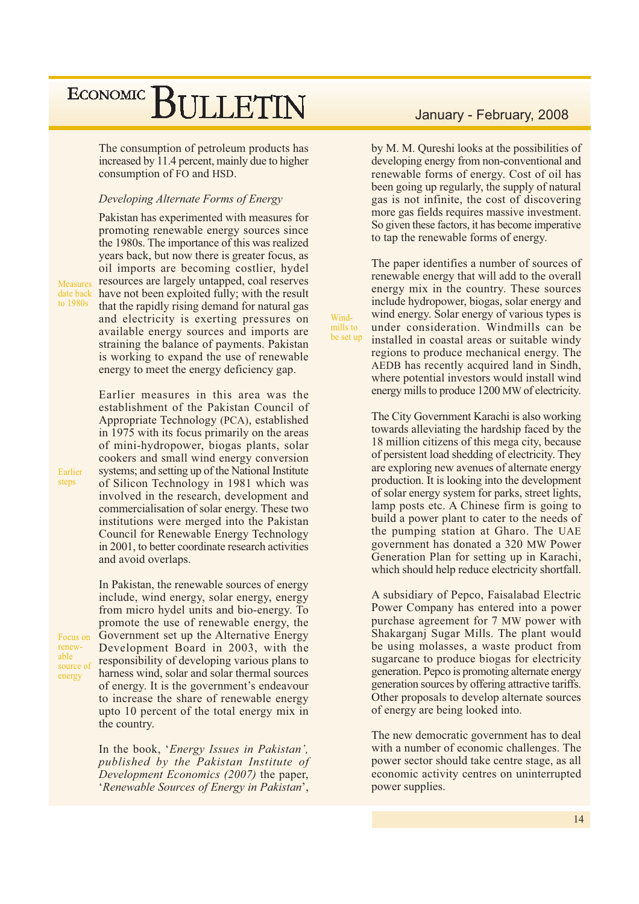The consumption of petroleum products has increased by 11.4 percent, mainly due to higher consumption of FO and HSD.

#### Developing Alternate Forms of Energy

Pakistan has experimented with measures for promoting renewable energy sources since the 1980s. The importance of this was realized vears back, but now there is greater focus, as oil imports are becoming costlier, hydel resources are largely untapped, coal reserves date back have not been exploited fully; with the result that the rapidly rising demand for natural gas and electricity is exerting pressures on available energy sources and imports are straining the balance of payments. Pakistan is working to expand the use of renewable energy to meet the energy deficiency gap.

> Earlier measures in this area was the establishment of the Pakistan Council of Appropriate Technology (PCA), established in 1975 with its focus primarily on the areas of mini-hydropower, biogas plants, solar cookers and small wind energy conversion systems; and setting up of the National Institute of Silicon Technology in 1981 which was involved in the research, development and commercialisation of solar energy. These two institutions were merged into the Pakistan Council for Renewable Energy Technology in 2001, to better coordinate research activities and avoid overlaps.

In Pakistan, the renewable sources of energy

include, wind energy, solar energy, energy from micro hydel units and bio-energy. To promote the use of renewable energy, the Government set up the Alternative Energy Focus on Development Board in 2003, with the responsibility of developing various plans to harness wind, solar and solar thermal sources of energy. It is the government's endeavour to increase the share of renewable energy upto 10 percent of the total energy mix in the country.

> In the book, 'Energy Issues in Pakistan', published by the Pakistan Institute of Development Economics (2007) the paper, 'Renewable Sources of Energy in Pakistan',

#### January - February, 2008

by M. M. Qureshi looks at the possibilities of developing energy from non-conventional and renewable forms of energy. Cost of oil has been going up regularly, the supply of natural gas is not infinite, the cost of discovering more gas fields requires massive investment. So given these factors, it has become imperative to tap the renewable forms of energy.

The paper identifies a number of sources of renewable energy that will add to the overall energy mix in the country. These sources include hydropower, biogas, solar energy and wind energy. Solar energy of various types is under consideration. Windmills can be installed in coastal areas or suitable windy regions to produce mechanical energy. The AEDB has recently acquired land in Sindh, where potential investors would install wind energy mills to produce 1200 MW of electricity.

Wind-

mills to

be set up

The City Government Karachi is also working towards alleviating the hardship faced by the 18 million citizens of this mega city, because of persistent load shedding of electricity. They are exploring new avenues of alternate energy production. It is looking into the development of solar energy system for parks, street lights, lamp posts etc. A Chinese firm is going to build a power plant to cater to the needs of the pumping station at Gharo. The UAE government has donated a 320 MW Power Generation Plan for setting up in Karachi, which should help reduce electricity shortfall.

A subsidiary of Pepco, Faisalabad Electric Power Company has entered into a power purchase agreement for 7 MW power with Shakarganj Sugar Mills. The plant would be using molasses, a waste product from sugarcane to produce biogas for electricity generation. Pepco is promoting alternate energy generation sources by offering attractive tariffs. Other proposals to develop alternate sources of energy are being looked into.

The new democratic government has to deal with a number of economic challenges. The power sector should take centre stage, as all economic activity centres on uninterrupted power supplies.

Earlier steps

Measures

to 1980s

renewable source of energy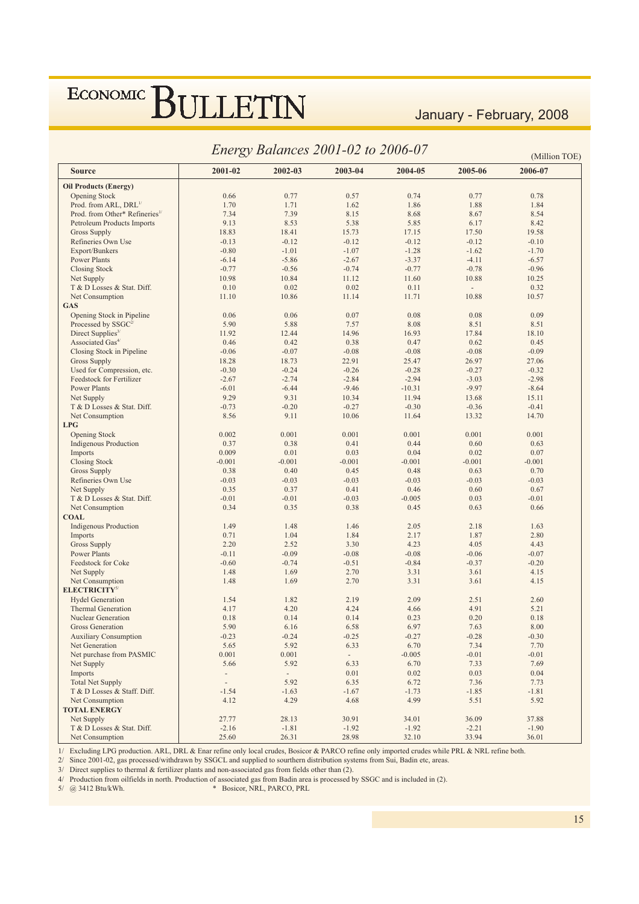January - February, 2008

|                                                      |                 |                          | Energy Balances 2001-02 to 2006-07 |          |                          | (Million TOE) |
|------------------------------------------------------|-----------------|--------------------------|------------------------------------|----------|--------------------------|---------------|
| <b>Source</b>                                        | 2001-02         | 2002-03                  | 2003-04                            | 2004-05  | 2005-06                  | 2006-07       |
| <b>Oil Products (Energy)</b>                         |                 |                          |                                    |          |                          |               |
| <b>Opening Stock</b>                                 | 0.66            | 0.77                     | 0.57                               | 0.74     | 0.77                     | 0.78          |
| Prod. from ARL, DRL <sup>1/</sup>                    | 1.70            | 1.71                     | 1.62                               | 1.86     | 1.88                     | 1.84          |
| Prod. from Other* Refineries <sup>1/</sup>           | 7.34            | 7.39                     | 8.15                               | 8.68     | 8.67                     | 8.54          |
| Petroleum Products Imports                           | 9.13            | 8.53                     | 5.38                               | 5.85     | 6.17                     | 8.42          |
| <b>Gross Supply</b>                                  | 18.83           | 18.41                    | 15.73                              | 17.15    | 17.50                    | 19.58         |
| Refineries Own Use                                   | $-0.13$         | $-0.12$                  | $-0.12$                            | $-0.12$  | $-0.12$                  | $-0.10$       |
| Export/Bunkers                                       | $-0.80$         | $-1.01$                  | $-1.07$                            | $-1.28$  | $-1.62$                  | $-1.70$       |
| <b>Power Plants</b>                                  | $-6.14$         | $-5.86$                  | $-2.67$                            | $-3.37$  | $-4.11$                  | $-6.57$       |
| <b>Closing Stock</b>                                 | $-0.77$         | $-0.56$                  | $-0.74$                            | $-0.77$  | $-0.78$                  | $-0.96$       |
| Net Supply                                           | 10.98           | 10.84                    | 11.12                              | 11.60    | 10.88                    | 10.25         |
| T & D Losses & Stat. Diff.                           | 0.10            | 0.02                     | 0.02                               | 0.11     | $\overline{\phantom{a}}$ | 0.32          |
| Net Consumption                                      | 11.10           | 10.86                    | 11.14                              | 11.71    | 10.88                    | 10.57         |
| <b>GAS</b>                                           |                 |                          |                                    |          |                          |               |
| Opening Stock in Pipeline                            | 0.06            | 0.06                     | 0.07                               | 0.08     | 0.08                     | 0.09          |
| Processed by $SSGC2$                                 | 5.90            | 5.88                     | 7.57                               | 8.08     | 8.51                     | 8.51          |
| Direct Supplies <sup><math>3/</math></sup>           | 11.92           | 12.44                    | 14.96                              | 16.93    | 17.84                    | 18.10         |
| Associated Gas <sup>4/</sup>                         | 0.46            | 0.42                     | 0.38                               | 0.47     | 0.62                     | 0.45          |
| Closing Stock in Pipeline                            | $-0.06$         | $-0.07$                  | $-0.08$                            | $-0.08$  | $-0.08$                  | $-0.09$       |
| Gross Supply                                         | 18.28           | 18.73                    | 22.91                              | 25.47    | 26.97                    | 27.06         |
| Used for Compression, etc.                           | $-0.30$         | $-0.24$                  | $-0.26$                            | $-0.28$  | $-0.27$                  | $-0.32$       |
| <b>Feedstock for Fertilizer</b>                      | $-2.67$         | $-2.74$                  | $-2.84$                            | $-2.94$  | $-3.03$                  | $-2.98$       |
| <b>Power Plants</b>                                  | $-6.01$         | $-6.44$                  | $-9.46$                            | $-10.31$ | $-9.97$                  | $-8.64$       |
| Net Supply                                           | 9.29            | 9.31                     | 10.34                              | 11.94    | 13.68                    | 15.11         |
| T & D Losses & Stat. Diff.                           | $-0.73$         | $-0.20$                  | $-0.27$                            | $-0.30$  | $-0.36$                  | $-0.41$       |
| Net Consumption                                      | 8.56            | 9.11                     | 10.06                              | 11.64    | 13.32                    | 14.70         |
| <b>LPG</b>                                           |                 |                          |                                    |          |                          |               |
|                                                      | 0.002           | 0.001                    | 0.001                              | 0.001    | 0.001                    | 0.001         |
| <b>Opening Stock</b><br><b>Indigenous Production</b> | 0.37            | 0.38                     | 0.41                               | 0.44     | 0.60                     | 0.63          |
|                                                      | 0.009           | 0.01                     | 0.03                               | 0.04     | 0.02                     | 0.07          |
| Imports                                              | $-0.001$        | $-0.001$                 | $-0.001$                           | $-0.001$ | $-0.001$                 | $-0.001$      |
| <b>Closing Stock</b>                                 |                 |                          |                                    |          |                          |               |
| <b>Gross Supply</b>                                  | 0.38            | 0.40                     | 0.45                               | 0.48     | 0.63                     | 0.70          |
| Refineries Own Use                                   | $-0.03$<br>0.35 | $-0.03$                  | $-0.03$                            | $-0.03$  | $-0.03$                  | $-0.03$       |
| Net Supply                                           |                 | 0.37                     | 0.41                               | 0.46     | 0.60                     | 0.67          |
| T & D Losses & Stat. Diff.                           | $-0.01$         | $-0.01$                  | $-0.03$                            | $-0.005$ | 0.03                     | $-0.01$       |
| Net Consumption                                      | 0.34            | 0.35                     | 0.38                               | 0.45     | 0.63                     | 0.66          |
| <b>COAL</b>                                          |                 |                          |                                    |          |                          |               |
| <b>Indigenous Production</b>                         | 1.49            | 1.48                     | 1.46                               | 2.05     | 2.18                     | 1.63          |
| Imports                                              | 0.71            | 1.04                     | 1.84                               | 2.17     | 1.87                     | 2.80          |
| <b>Gross Supply</b>                                  | 2.20            | 2.52                     | 3.30                               | 4.23     | 4.05                     | 4.43          |
| <b>Power Plants</b>                                  | $-0.11$         | $-0.09$                  | $-0.08$                            | $-0.08$  | $-0.06$                  | $-0.07$       |
| Feedstock for Coke                                   | $-0.60$         | $-0.74$                  | $-0.51$                            | $-0.84$  | $-0.37$                  | $-0.20$       |
| Net Supply                                           | 1.48            | 1.69                     | 2.70                               | 3.31     | 3.61                     | 4.15          |
| <b>Net Consumption</b><br><b>ELECTRICITY5/</b>       | 1.48            | 1.69                     | 2.70                               | 3.31     | 3.61                     | 4.15          |
| <b>Hydel Generation</b>                              | 1.54            | 1.82                     | 2.19                               | 2.09     | 2.51                     | 2.60          |
| <b>Thermal Generation</b>                            | 4.17            | 4.20                     | 4.24                               | 4.66     | 4.91                     | 5.21          |
| Nuclear Generation                                   | 0.18            | 0.14                     | 0.14                               | 0.23     | 0.20                     | 0.18          |
| Gross Generation                                     | 5.90            | 6.16                     | 6.58                               | 6.97     | 7.63                     | 8.00          |
| <b>Auxiliary Consumption</b>                         | $-0.23$         | $-0.24$                  | $-0.25$                            | $-0.27$  | $-0.28$                  | $-0.30$       |
| Net Generation                                       | 5.65            | 5.92                     | 6.33                               | 6.70     | 7.34                     | 7.70          |
| Net purchase from PASMIC                             | 0.001           | 0.001                    | $\omega_{\rm{eff}}$                | $-0.005$ | $-0.01$                  | $-0.01$       |
| Net Supply                                           | 5.66            | 5.92                     | 6.33                               | 6.70     | 7.33                     | 7.69          |
| Imports                                              | Ĭ.              | $\overline{\phantom{a}}$ | 0.01                               | 0.02     | 0.03                     | 0.04          |
| <b>Total Net Supply</b>                              | $\overline{a}$  | 5.92                     | 6.35                               | 6.72     | 7.36                     | 7.73          |
| T & D Losses & Staff. Diff.                          | $-1.54$         | $-1.63$                  | $-1.67$                            | $-1.73$  | $-1.85$                  | $-1.81$       |
| Net Consumption                                      | 4.12            | 4.29                     | 4.68                               | 4.99     | 5.51                     | 5.92          |
| <b>TOTAL ENERGY</b>                                  |                 |                          |                                    |          |                          |               |
| Net Supply                                           | 27.77           | 28.13                    | 30.91                              | 34.01    | 36.09                    | 37.88         |
| T & D Losses & Stat. Diff.                           | $-2.16$         | $-1.81$                  | $-1.92$                            | $-1.92$  | $-2.21$                  | $-1.90$       |
| Net Consumption                                      | 25.60           | 26.31                    | 28.98                              | 32.10    | 33.94                    | 36.01         |

1/ Excluding LPG production. ARL, DRL & Enar refine only local crudes, Bosicor & PARCO refine only imported crudes while PRL & NRL refine both.

2/ Since 2001-02, gas processed/withdrawn by SSGCL and supplied to sourthern distribution systems from Sui, Badin etc, areas.<br>3/ Direct supplies to thermal & fertilizer plants and non-associated gas from fields other than

5/ @ 3412 Btu/kWh. \* Bosicor, NRL, PARCO, PRL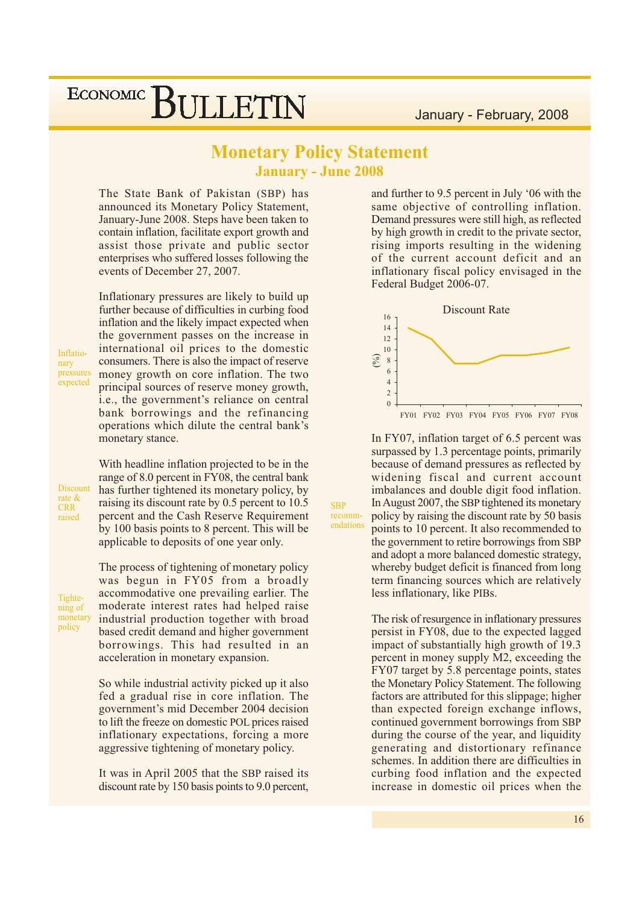### **Monetary Policy Statement January - June 2008**

**SBP** 

recomm-

endations

The State Bank of Pakistan (SBP) has announced its Monetary Policy Statement, January-June 2008. Steps have been taken to contain inflation, facilitate export growth and assist those private and public sector enterprises who suffered losses following the events of December 27, 2007.

Inflationary pressures are likely to build up further because of difficulties in curbing food inflation and the likely impact expected when the government passes on the increase in international oil prices to the domestic consumers. There is also the impact of reserve money growth on core inflation. The two principal sources of reserve money growth, i.e., the government's reliance on central bank borrowings and the refinancing operations which dilute the central bank's monetary stance.

Inflationary pressures expected

**Discount** rate & **CRR** raised

With headline inflation projected to be in the range of 8.0 percent in FY08, the central bank has further tightened its monetary policy, by raising its discount rate by 0.5 percent to 10.5 percent and the Cash Reserve Requirement by 100 basis points to 8 percent. This will be applicable to deposits of one year only.

Tightening of monetary policy

The process of tightening of monetary policy was begun in FY05 from a broadly accommodative one prevailing earlier. The moderate interest rates had helped raise industrial production together with broad based credit demand and higher government borrowings. This had resulted in an acceleration in monetary expansion.

So while industrial activity picked up it also fed a gradual rise in core inflation. The government's mid December 2004 decision to lift the freeze on domestic POL prices raised inflationary expectations, forcing a more aggressive tightening of monetary policy.

It was in April 2005 that the SBP raised its discount rate by 150 basis points to 9.0 percent,

and further to 9.5 percent in July '06 with the same objective of controlling inflation. Demand pressures were still high, as reflected by high growth in credit to the private sector, rising imports resulting in the widening of the current account deficit and an inflationary fiscal policy envisaged in the Federal Budget 2006-07.



In FY07, inflation target of 6.5 percent was surpassed by 1.3 percentage points, primarily because of demand pressures as reflected by widening fiscal and current account imbalances and double digit food inflation. In August 2007, the SBP tightened its monetary policy by raising the discount rate by 50 basis points to 10 percent. It also recommended to the government to retire borrowings from SBP and adopt a more balanced domestic strategy, whereby budget deficit is financed from long term financing sources which are relatively less inflationary, like PIBs.

The risk of resurgence in inflationary pressures persist in FY08, due to the expected lagged impact of substantially high growth of 19.3 percent in money supply M2, exceeding the FY07 target by 5.8 percentage points, states the Monetary Policy Statement. The following factors are attributed for this slippage; higher than expected foreign exchange inflows, continued government borrowings from SBP during the course of the year, and liquidity generating and distortionary refinance schemes. In addition there are difficulties in curbing food inflation and the expected increase in domestic oil prices when the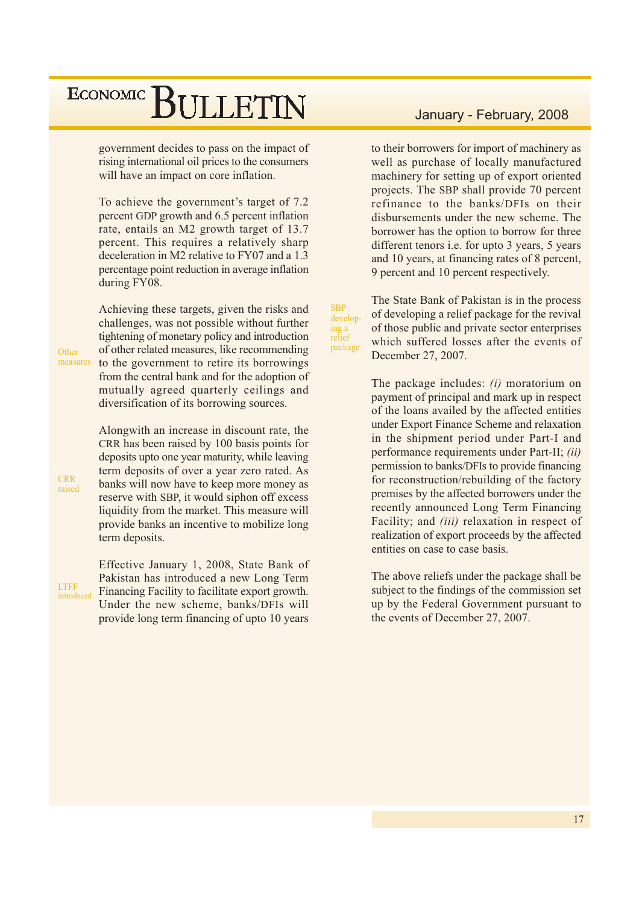government decides to pass on the impact of rising international oil prices to the consumers will have an impact on core inflation.

To achieve the government's target of 7.2 percent GDP growth and 6.5 percent inflation rate, entails an M2 growth target of 13.7 percent. This requires a relatively sharp deceleration in M2 relative to FY07 and a 1.3 percentage point reduction in average inflation during FY08.

Achieving these targets, given the risks and challenges, was not possible without further tightening of monetary policy and introduction of other related measures, like recommending to the government to retire its borrowings from the central bank and for the adoption of mutually agreed quarterly ceilings and diversification of its borrowing sources.

Alongwith an increase in discount rate, the CRR has been raised by 100 basis points for deposits upto one year maturity, while leaving term deposits of over a year zero rated. As banks will now have to keep more money as reserve with SBP, it would siphon off excess liquidity from the market. This measure will provide banks an incentive to mobilize long term deposits.

Effective January 1, 2008, State Bank of Pakistan has introduced a new Long Term Financing Facility to facilitate export growth. Under the new scheme, banks/DFIs will provide long term financing of upto 10 years

#### January - February, 2008

to their borrowers for import of machinery as well as purchase of locally manufactured machinery for setting up of export oriented projects. The SBP shall provide 70 percent refinance to the banks/DFIs on their disbursements under the new scheme. The borrower has the option to borrow for three different tenors i.e. for upto 3 years, 5 years and 10 years, at financing rates of 8 percent, 9 percent and 10 percent respectively.

The State Bank of Pakistan is in the process of developing a relief package for the revival of those public and private sector enterprises which suffered losses after the events of December 27, 2007.

**SBP** 

ing a

relief

package

develop-

The package includes:  $(i)$  moratorium on payment of principal and mark up in respect of the loans availed by the affected entities under Export Finance Scheme and relaxation in the shipment period under Part-I and performance requirements under Part-II; *(ii)* permission to banks/DFIs to provide financing for reconstruction/rebuilding of the factory premises by the affected borrowers under the recently announced Long Term Financing Facility; and *(iii)* relaxation in respect of realization of export proceeds by the affected entities on case to case basis.

The above reliefs under the package shall be subject to the findings of the commission set up by the Federal Government pursuant to the events of December 27, 2007.

**CRR** raised

Other

measures

**LTFF** introduced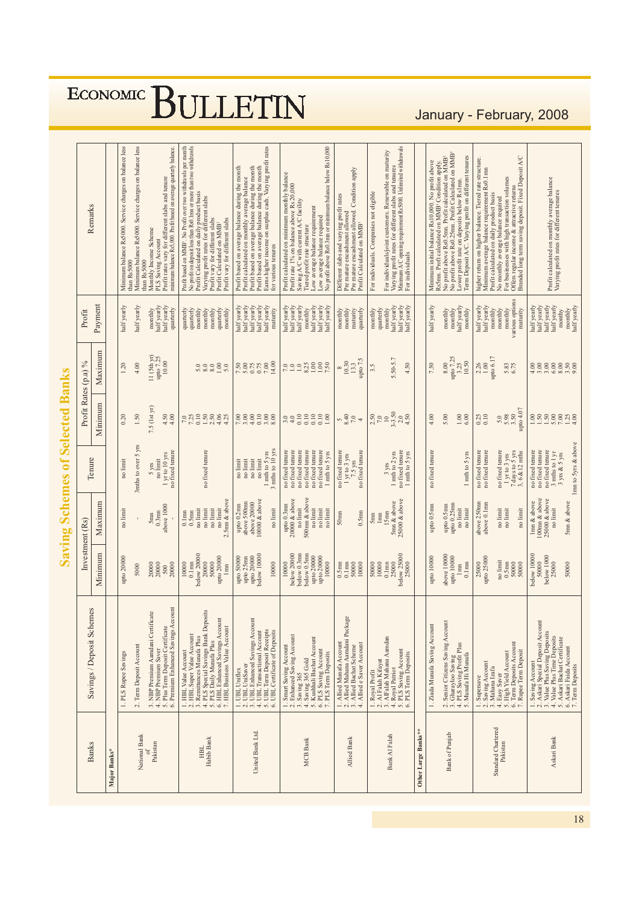Profit based on MMB! No Profit over two withdrawls per month<br>Profit Cloudented on daily product ernore than two withdrawls<br>Profit Cloudented on daily product ernore than two withdrawls<br>Varying profit ranes for different sl PLS Saving Account<br>Profit rates vary for different slabs and tenure<br>minimum balance Rs5000. Profit based on average quarterly balance. Low average balance required<br>No profit above Rs0.3mn or minimum balance below Rs10,000 Ainimum balance Rs5000. Service charges on balance less Minimum balance Rs5000. Service charges on balance less Earns higher income on surplus cash. Varying profit rates<br>for various tenures Varying profit rates for different slabs and tenures<br>Minimum A/C opening requirement Rs5000. Unlimited withdrawals<br>For individuals For individuals/joint customers. Renewable on maturity Minimum initial balance Rs10,000. No profit above<br>Rs5mn. Profi calculated on MMB' Condition apply.<br>No profit above Rs0.5mn. Profit calculated on MMB'<br>Lower profit rate on deposits below Rs Innd<br>Lower profit rate on deposit Term Deposit A/C. Varying profit on different tenures higher return on higher balance. Tiered rate structure<br>Minimum average balance requirement Rs0.1mn Profit based on average balance during the month<br>Profit calculated on monthly average balance<br>Profit based on average balance<br>Profit based on average balance during the month Pre mature encashment allowed. Condition apply Profit calculated on minimum monthly balance<br>Profit rate 1% on balance above Rs 20,000 Profit calculated on daily product basis<br>No monthly average balance required<br>For businesses with high transaction volumes For individuals. Companies not eligible Different slabs and varying profit rates Saving A/C with current A/C facility<br>Tiered profit rate structure Remarks Low average balance requirement Pre mature encashment allowed Profit vary for different slabs Profit Calculated on MMB Monthly Income Scheme than Rs5000 than Rs5000  $\begin{tabular}{c} hat f yearly \\ hat f yearly \\ monthly \\ monthly \\ monthly \\ monthly \\ monthly \\ months \\ pointly \\ various options \\ varios \\ options \\ \end{tabular}$ half yearly  $\begin{array}{c} \text{ monthly} \\ \text{half yearly} \\ \text{half yearly} \\ \text{quartely} \end{array}$  $\begin{array}{l} \text{half yearly} \\ \text{half yearly} \\ \text{half yearly} \\ \text{half yearly} \\ \text{half yearly} \\ \text{half yearly} \\ \text{half yearly} \\ \text{main} \\ \text{main} \\ \end{array}$  $\begin{array}{c} \text{half yearly} \\ \text{half yearly} \\ \text{half yearly} \\ \text{nonfully} \end{array}$ half yearly<br>half yearly<br>half yearly maturity<br>quarterly half yearly<br>half yearly<br>half yearly  $\begin{array}{c} \text{ monthly} \\ \text{monthy} \\ \text{half yearly} \\ \text{monthly} \end{array}$ Payment nalf yearly  $\begin{array}{l} \text{quartely} \\ \text{mently} \\ \text{monthly} \\ \text{monthly} \\ \text{monthly} \\ \text{monthly} \\ \text{monthly} \\ \text{monthly} \\ \text{monthly} \end{array}$ nalf yearly monthly<br>monthly  $\frac{1}{2}$  quarterly Profit parterly monthly Maximum  $\begin{array}{c} 11 \; (5 \, \mathrm{th} \; \mathrm{yr}) \\ \text{upto} \; 7.25 \\ 10.00 \end{array}$  $\begin{array}{c} 2.26 \\ 1.00 \\ \text{upto 6.17} \end{array}$  $8.00  
\n\text{upto } 7.25  
\n3.25  
\n10.50$  $\begin{array}{c} 8 \\ 10.30 \\ 13.3 \\ \text{upto 7.5} \end{array}$ 5.50-5.7  $7.30$ <br> $7.30$ <br> $7.30$ <br> $7.30$ <br> $7.30$ <br> $7.30$ Profit Rates (p.a) %  $1.20$ 4.00 4.50 7.50  $3.5$ Minimum 7.5 (1st yr)  $7.50$ <br>  $7.0$ <br>  $7.50$ <br>  $3.50$ <br>
4.50<br>
4.50  $\frac{4.50}{4.00}$  $7.3288883$  $3322200$  $\frac{0.25}{0.10}$  $0.20$  $1.50$  $4.00$  $\frac{1.00}{6.00}$  $0.40$ <br> $7.0$ <br> $7.0$ 5.00 3mths to over 5 yrs  $1 \text{ }\mathrm{mth}$  to  $5 \text{ }\mathrm{yrs}$   $3 \text{ }\mathrm{mths}$  to  $10 \text{ }\mathrm{yrs}$ no fixed tenure<br>no fixed tenure<br>no fixed tenure<br>no fixed tenure no fixed tenure<br>no fixed tenure<br>1 mth to 5 yrs no fixed tenure<br>  $1 \text{ yr}$  to  $3 \text{ yrs}$ <br>  $7.5 \text{ yrs}$ <br>
no fixed tenure  $5 \text{ yrs}$ <br>no limit<br> $1 \text{ yr}$  to  $10 \text{ yrs}$ <br>no fixed tenure  $\begin{array}{c} 3 \text{ yrs} \\ 1 \text{ mh to 2 yrs} \\ \text{no fixed temperature} \\ 1 \text{ mh to 5 yrs} \end{array}$ no fixed tenure<br>no fixed tenure no fixed tenure no fixed tenure 1 mth to 5 yrs  $\begin{tabular}{c} no limit\\ no limit\\ no limit\\ no limit\\ no limit\\ \hline \end{tabular}$ Tenure  $no$  limit upto 0.3mn<br>
20000 & above<br>
no limit<br>
500mn & above<br>
500mn & box<br>
no limit<br>
no limit  $5\text{mn} \& \text{above} \\ 25000 \& \text{above}$ no limit<br>2.5mn & above upto 0.2mn<br>above 500mn<br>above 20000<br>10000 & above  $\begin{array}{c} \text{5} \text{mm} \\ 0.3 \text{mm} \\ \text{above 1000} \end{array}$ above  $250\mathrm{nm}$ above  $0.1\mathrm{mm}$ upto 0.25mm<br>no limit Maximum upto 0.5mn upto 0.5mm  $\begin{array}{l} 0.1\text{mm}\\ 0.5\text{mm}\\ \text{no limit}\\ \text{no limit}\\ \text{no limit}\\ \end{array}$ no limit no limit  $\lim_{15\mathrm{nm}}$ no limit  $0.5$ mn  $50<sub>mm</sub>$  $\sum_{n=1}^{\infty}$ Investment (Rs) Minimum  $\begin{array}{r} 10000 \\ \text{0.1}\,\text{nm} \\ \text{below 20000} \\ 20000 \\ 50000 \\ \text{upo 20000} \\ \text{1mm} \\ \text{1mm} \end{array}$ upto 50000<br>upto 25mn<br>upto 20000<br>below 10000  $\begin{array}{l} \text{below 20000} \\ \text{below 0.3mm} \\ \text{below 0.5mm} \\ \text{below 0.5mm} \\ \text{upto 20000} \\ \text{upto 20000} \\ \text{upto 20000} \\ 10000 \end{array}$  $0.1 \text{mm}$ <br>  $25000$ <br>
below 25000<br>  $25000$ <br>  $25000$ above 10000 pro $10000$  lm<br>m<br> $1\,\mathrm{mm}$  0.1 mn  $\begin{array}{c} 25000 \\ \text{upto} \ 25000 \end{array}$ upto 10000 apto 20000  $\frac{20000}{500}$ 10000 10000  $\begin{array}{c} 0.5\text{mm}\\ 0.1\text{mm}\\ 50000 \end{array}$ 50000<br>10000 10000 :0000 5000 1. HBL Value Account<br>
3. RBL Super Value Account<br>
4. PLS Special Savings Bank Deposits<br>
4. PLS Special Savings Bank Deposits<br>
5. PLS Daily Munafa Plus<br>
7. HBL Business Value Account<br>
7. HBL Business Value Account 3. NBP Premium Aamdani Certificate<br>4. NBP Premium Saver<br>5. Plus Term Deposit Certificate<br>6. Premium Enhanced Savings Account Savings / Deposit Schemes 1. UBL Uniflex<br>
2. UBL UniSaver<br>
3. UBL Enhanced Savings Account<br>
5. UBL Tram Deposit Accorps<br>
6. UBL Certificate of Deposits<br>
6. UBL Certificate of Deposits 1. Allied Munafa Account<br>2. Allied Mahana Aamdani Package<br>3. Allied Bachat Scheme<br>4. Allied e Saver Account 2. Senior Citizens Saving Account<br>3. Gharayloo Saving<br>4. PLS Saving Profit Plus<br>5. Munafa Hi Munafa . Ziada Munafa Saving Account 1. Smart Saving Account<br>
2. Enhanced Swing Account<br>
4. Saving 365 Gold<br>
5. Kushhali Bachat Account<br>
5. Kushhali Bachat Account<br>
7. PLS Term Deposits 1. Royal Profit<br>
2. Al Falah Kifayat<br>
3. AlFalah Mahana Aamdan<br>
5. PLS Saving Account<br>
6. PLS Term Deposits 2. Term Deposit Account . PLS Rupee Savings 1. Supersave<br>2. Saving Account<br>3. Mahana Izafa National Bank $\frac{1}{\sigma f}$ United Bank Ltd. Other Large Banks\*\* Bank of Punjab HBL<br>Habib Bank Bank Al Falah **MCB** Bank Allied Bank **Banks** Pakistan Major Banks\*

BULLETIN

**ECONOMIC** 

**Saving Schemes of Selected Banks** 

### January - February, 2008

Offers regular income & attractive returns<br>Branded long term saving deposit. Fixed Deposit A/C

5.83<br>6.75

 $\frac{5.0}{5.98}$ <br>3.50<br>upto 4.07

 $\begin{array}{c} \n 1 \text{ yr to 3 yrs} \\ \n 7 \text{ days to 5 yrs} \\ \n 3, 6 \& 12 \text{ mths} \n \end{array}$ 

no fixed tenure

no limit<br>no limit no limit

 $\begin{array}{c} \text{no limit}\\ \text{0.5mm}\\ \text{50000} \end{array}$ 50000

 $\frac{4}{5}$ . Elasy Saver<br>5. High Yield Account<br>6. Term Deposits Account<br>7. Rupee Term Deposit

Standard Chartered

Pakistan

Profit calculated on monthly average balance<br>Varying profit rates for different tenures

 $\begin{array}{l} \text{half}\,\text{yary} \\ \text{half}\,\text{yary} \\ \text{half}\,\text{yary} \\ \text{half}\,\text{yary} \\ \text{half}\,\text{yary} \\ \text{nonphys} \\ \text{monthy} \\ \text{monthy} \\ \text{main}\,\text{yary} \\ \text{main}\,\text{yary} \end{array}$ 

 $8888889$ 

mo fixed tenure<br>no fixed tenure<br>no fixed tenure<br>3 mths to 1 yr<br>3 yrs & 5 yrs

1mn & above<br>100mn & above<br>25000 & above

below 10000<br>50000<br>below 1000<br>25000

mn to 5yrs & above

inn & above

50000

no limit

1. Saving Account<br>
3. Value Plus Saving Deposits<br>
4. Value Plus Time Deposits<br>
4. Value Plus Time Deposits<br>
6. Askan Baidan Account<br>
7. Term Deposits

Askari Bank

18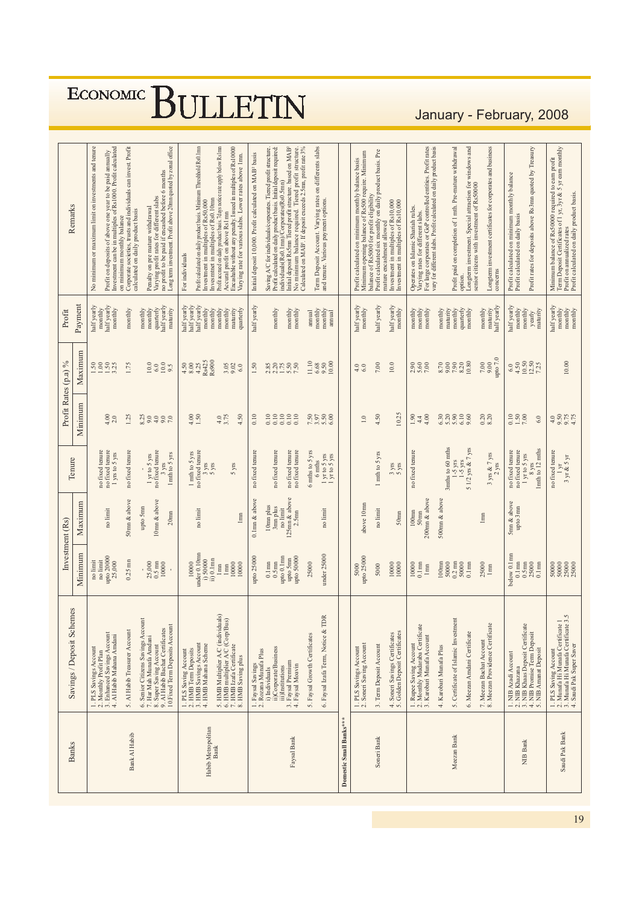ECONOMIC BULLETIN

### January - February, 2008

|                                   |                                                                                                                                                                                                                              | Investment (Rs)                                                                                       |                                                                         |                                                                                                                                |                                                                   | Profit Rates (p.a) %                                                      | Profit                                                                                                                                                                                         |                                                                                                                                                                                                                                                                                                                                                                                                                 |
|-----------------------------------|------------------------------------------------------------------------------------------------------------------------------------------------------------------------------------------------------------------------------|-------------------------------------------------------------------------------------------------------|-------------------------------------------------------------------------|--------------------------------------------------------------------------------------------------------------------------------|-------------------------------------------------------------------|---------------------------------------------------------------------------|------------------------------------------------------------------------------------------------------------------------------------------------------------------------------------------------|-----------------------------------------------------------------------------------------------------------------------------------------------------------------------------------------------------------------------------------------------------------------------------------------------------------------------------------------------------------------------------------------------------------------|
| <b>Banks</b>                      | Savings / Deposit Schemes                                                                                                                                                                                                    | Minimum                                                                                               | Maximum                                                                 | Tenure                                                                                                                         | Minimum                                                           | Maximum                                                                   | Payment                                                                                                                                                                                        | Remarks                                                                                                                                                                                                                                                                                                                                                                                                         |
|                                   | 1. PLS Savings Account<br>2. Monthly Profit Plan<br>3. Enhanced Savings Account<br>4. Al Habib Mahana Amdani                                                                                                                 | $\begin{array}{c} \text{no limit} \\ \text{upto 20000} \\ 25,000 \end{array}$<br>no limit             | no limit                                                                | $\footnotesize\begin{array}{c}\n$ no fixed tenure $\footnotesize\begin{array}{c}\n$ no fixed tenure<br>1 yrs to 5 yrs          | 4.00<br>2.0                                                       | $1.50$<br>$1.50$<br>$1.50$<br>$3.25$                                      | half yearly<br>half yearly<br>monthly<br>monthly                                                                                                                                               | Profit on deposits of above one year to be paid annually<br>Investment can be in multiples of Rs1000. Profit calculated<br>No minimum or maximum limit on investments and tenure                                                                                                                                                                                                                                |
| Bank Al Habib                     | 5. Al Habib Treasurer Account                                                                                                                                                                                                | $0.25$ mn                                                                                             | 50mm & above                                                            | no fixed tenure                                                                                                                | 1.25                                                              | 1.75                                                                      | monthly                                                                                                                                                                                        | Corporate societies, trusts and individuals can invest. Profit<br>calculated on daily product basis<br>on minimum monthly balance                                                                                                                                                                                                                                                                               |
|                                   | Senior Citizens Savings Account<br>10. Fixed Term Deposits Account<br>6. Senior Citizens Savings Account<br>7. Har Mah Munafa Amdani<br>8. Super Saving Account<br>9. Al Habib Bachat Certificates                           | $\frac{25,000}{0.5 \text{ mm}}$                                                                       | 10mm & above<br>upto 5mm<br>20 <sub>mm</sub>                            | $1\,\mathrm{yr}$ to $5\,\mathrm{yrs}$ no fixed tenure<br>1mth to 5 yrs<br>3 yrs                                                | 8.25<br>9.0<br>$\begin{array}{c} 0.0 \\ 0.0 \\ 7.0 \end{array}$   | 10.0<br>$^{10.0}_{9.5}$<br>6.0                                            | half yearly<br>quarterly<br>maturity<br>$\begin{array}{c}\text{monthy}\\ \text{monthly}\end{array}$                                                                                            | Long term investment. Profit above 20mn quoted by zonal office<br>Varying profit rates for different slabs<br>no profit to be paid if encashed before 6 months<br>Penalty on pre mature withdrawal                                                                                                                                                                                                              |
| Habib Metropolitan<br><b>Bank</b> | 5. HMB Multiplier A/C (individuals)<br>6. HMB multiplier A/C (Corp/Bus)<br>7. HMB Izafa Certificate<br>8. HMB Saving plus<br>1. PLS Saving Account<br>2. HMB Term Deposits<br>3. HMB Savings Account<br>4. HMB Mahana Scheme | under 0.10mm<br>ii) 0.1mn<br>i) 50000<br>10000<br>10000<br>10000<br>$$\rm{lmm}$$<br>$\mathbb{I}_{mn}$ | no limi<br>1 <sub>mm</sub>                                              | $1 \text{ }\mathrm{m} \text{th}$ to $5 \text{ }\mathrm{yrs}$ no fixed tenure<br>$\frac{3 \text{ yrs}}{5 \text{ yrs}}$<br>5 yrs | $4.0$<br>3.75<br>4.50<br>$4.00$<br>1.50                           | Rs425<br>R <sub>s</sub> 900<br>$\frac{4.50}{8.02}$<br>3.05<br>9.02<br>6.0 | $\begin{array}{l} \text{half yearly} \\ \text{half yearly} \\ \text{half yearly} \\ \text{half yearly} \\ \text{montly} \end{array}$<br>maturity<br>monthly<br>monthly<br>monthly<br>quarterly | Encashable without any penalty. Issued in multiples of Rs10000<br>Profit calculated on daily product basis. Minimum Threshhold Rs0.1mm<br>Profit accrued on daily product basis. 7days notice rate apply below Rs1mm<br>Accurral profit on above Rs1mm<br>Varying rate for various slabs. Lower rates above 1mn<br>Invesmmet in multiples of Rs0.10mn<br>Investment in multiples of Rs50,000<br>For individuals |
|                                   | 1. Faysal Savings<br>2. Rozana Munafa Plus                                                                                                                                                                                   | upto 25000                                                                                            | $0.1$ mn $\&$ above                                                     | no fixed tenure                                                                                                                | 0.10                                                              | 1.50                                                                      | half yearly                                                                                                                                                                                    | Initial deposit 10,000. Profit calculated on MAB <sup>2</sup> basis                                                                                                                                                                                                                                                                                                                                             |
| Faysal Bank                       | ii)Corporate/Business<br>3. Faysal Premium<br>4. Faysal Moavin<br>iii)Institutions<br>i) Individuals                                                                                                                         | upto 0.1mn<br>upto 50000<br>upto 5mn<br>$0.1$ mn<br>$0.5$ mn                                          | 125mn & above<br>10mm plus<br>3mm plus<br>no limit<br>2.5 <sub>mm</sub> | no fixed tenure<br>no fixed tenure<br>no fixed tenure                                                                          | 0.10<br>$\begin{array}{c} 0.0000 \\ 0.0000 \\ 0.0000 \end{array}$ | 2.85<br>2.275<br>5.50<br>7.50                                             | $\begin{array}{c}\text{mondly}\\ \text{mondly}\end{array}$<br>monthly                                                                                                                          | Initial deposit Rs5mn Tiered profit structure. based on MAB <sup>2</sup><br>No minimum balance required. Tiered profit structure.<br>Calculated on MAB! If deposit exceeds 2.5mn, profit rate 3%<br>Profit calculated on daily product basis. Initial deposit required:<br>Saving A/C for individuals/corporates. Tiered profit structure<br>individuals (Rs0.1mn)/Corporates (Rs0.5mn)                         |
|                                   | TDR<br>6. Faysal Izafa Term, Notice &<br>5. Faysal Growth Certificates                                                                                                                                                       | under 25000<br>25000                                                                                  | no limit                                                                | 6 mths to 5 yrs<br>$1 \text{yrto} 5 \text{ yrs}$<br>$1 \text{yrto} 5 \text{ yrs}$<br>6 mths                                    | $7.500$<br>$7.500$<br>$6.50$                                      | 11.10<br>$\begin{array}{c} 6.68 \\ 9.50 \\ 10.00 \end{array}$             | $\begin{array}{c}\text{mondly}\\ \text{mondly}\end{array}$<br>annual<br>annual                                                                                                                 | Term Deposit Account. Varying rates on differents slabs<br>and tenure. Various payment options.                                                                                                                                                                                                                                                                                                                 |
| Domestic Small Banks***           |                                                                                                                                                                                                                              |                                                                                                       |                                                                         |                                                                                                                                |                                                                   |                                                                           |                                                                                                                                                                                                |                                                                                                                                                                                                                                                                                                                                                                                                                 |
|                                   | 1. PLS Savings Account<br>2. Soneri Saving Account                                                                                                                                                                           | upto 25000<br>5000                                                                                    | above 10mm                                                              |                                                                                                                                | $\sim$                                                            | $\begin{array}{c} 4.0 \\ 6.0 \end{array}$                                 | half yearly<br>monthly                                                                                                                                                                         | Minimum opening balance of Rs500 require. Minimum<br>balance of Rs5000 for profit eligibility<br>Profit calculated on minimum monthly balance basis                                                                                                                                                                                                                                                             |
| Soneri Bank                       | 4. Soneri Savings Certificates<br>5. Golden Deposit Certificates<br>3. Term Deposit Account                                                                                                                                  | 10000<br>10000<br>5000                                                                                | no limit<br>50 <sub>mm</sub>                                            | 1 mth to 5 yrs<br>$3 \text{ yrs}$                                                                                              | 10.25<br>4.50                                                     | 7.00<br>10.0                                                              | half yearly<br>half yearly<br>monthly                                                                                                                                                          | Profit calculated six monthly on daily product basis. Pre<br>Investment in multiples of Rs10,000<br>investment in multiples of Rs10,000<br>mature encashment allowed                                                                                                                                                                                                                                            |
|                                   | 1. Rupee Saving Account<br>2. Monthly Mudaraba Certificate<br>3. Karobari Munafa Account                                                                                                                                     | 10000<br>$0.1$ mn<br>$$\rm lmm$$                                                                      | 200mm & above<br>$100$ mn<br>50 <sub>mm</sub>                           | no fixed tenure                                                                                                                | 1.90<br>4.00<br>4.4                                               | 2.90<br>5.60                                                              | monthly<br>monthly<br>monthly                                                                                                                                                                  | Varying rates for different slabs.<br>For large corporates or GoP controlled entities. Profit rates<br>vary for different slabs. Profit calculated on daily product basis<br>Operates on Islamic Shariah rules.                                                                                                                                                                                                 |
| Meezan Bank                       | 5. Certificate of Islamic Investment<br>Meezan Bachat Account<br>Meezan Providence Certificate<br>6. Meezan Amdani Certificate<br>4. Karobari Munafa Plus<br>$\overline{r}$ so                                               | 100 <sub>mn</sub><br>$0.2 \text{ mm}$<br>50000<br>50000<br>$0.1$ mn<br>25000<br>1mm                   | 500mm & above<br>$l$ mm                                                 | 3mths to 60 mths<br>1-5 yrs<br>1-5 yrs<br>5 1/2 yrs<br>$\& 7$ yrs<br>3 yrs & 7 yrs                                             | 6.30<br>$5.20$<br>$5.30$<br>$6.10$<br>$9.60$<br>$0.20$<br>$8.20$  | 10.80<br>7.90<br>8.20<br>$7.00\,$<br>8.70<br>9.00<br>00.6                 | quarterly<br>maturity<br>monthly<br>maturity<br>monthly<br>monthly<br>monthly                                                                                                                  | Longterm investment. Special attraction for windows and<br>Longterm investment certificates for corporates and business<br>Profit paid on completion of 1 mth. Pre-mature withdrawal<br>senior citizens with investment of Rs50000<br>option.                                                                                                                                                                   |
|                                   |                                                                                                                                                                                                                              |                                                                                                       |                                                                         | $2$ yrs                                                                                                                        |                                                                   | upto $7.0$                                                                | half yearly                                                                                                                                                                                    | concerns                                                                                                                                                                                                                                                                                                                                                                                                        |
| NIB Bank                          | NIB Khazana<br>NIB Khaas Deposit Certificate<br>NIB Promise Term Deposit<br><b>NIB Amanat Deposit</b><br>NIB Azadi Account<br>$-2$ $-1$ $-1$ $-1$ $-1$                                                                       | below 0.1mm<br>$0.1$ mn<br>$\frac{0.5 \text{nm}}{25000}$                                              | 5mn & above<br>upto 3mn                                                 | Imth to 12 mths<br>no fixed tenure<br>no fixed tenure<br>1 yr to 5 yrs<br>8 vrs                                                | $0.10$<br>$1.50$<br>7.00<br>6.0                                   | $\frac{4.50}{10.50}$<br>6.0                                               | half yearly<br>monthly<br>monthly<br>maturity<br>yearly                                                                                                                                        | Profit rates for deposits above Rs3mn quoted by Treasury<br>Profit calculated on minimum monthly balance<br>Profit calculated on daily basis                                                                                                                                                                                                                                                                    |
| Saudi Pak Bank                    | 3.5<br>1. PLS Saving Account<br>2. Munafa Hi Munafa Certificate 1<br>3. Munafa Hi Munafa Certificate 3.5<br>4. Saudi Pak Super Saver                                                                                         | 50000<br>50000<br>25000<br>25000                                                                      |                                                                         | no fixed tenure<br>$3 \text{ yr}$ & $5 \text{ yr}$<br>$\overline{a}$                                                           |                                                                   | 10.00                                                                     | half yearly<br>$\begin{tabular}{lcl} \hline \textbf{month} \textbf{y} \\ \textbf{month} \textbf{y} \\ \textbf{month} \textbf{y} \\ \textbf{month} \end{tabular}$                               | Term Deposit Certificates of 1 yr, 3yr & 5 yr earn monthly<br>Minimum balance of Rs50000 required to earn profit<br>Profit on annualized rates<br>Profit calculated on daily product basis.                                                                                                                                                                                                                     |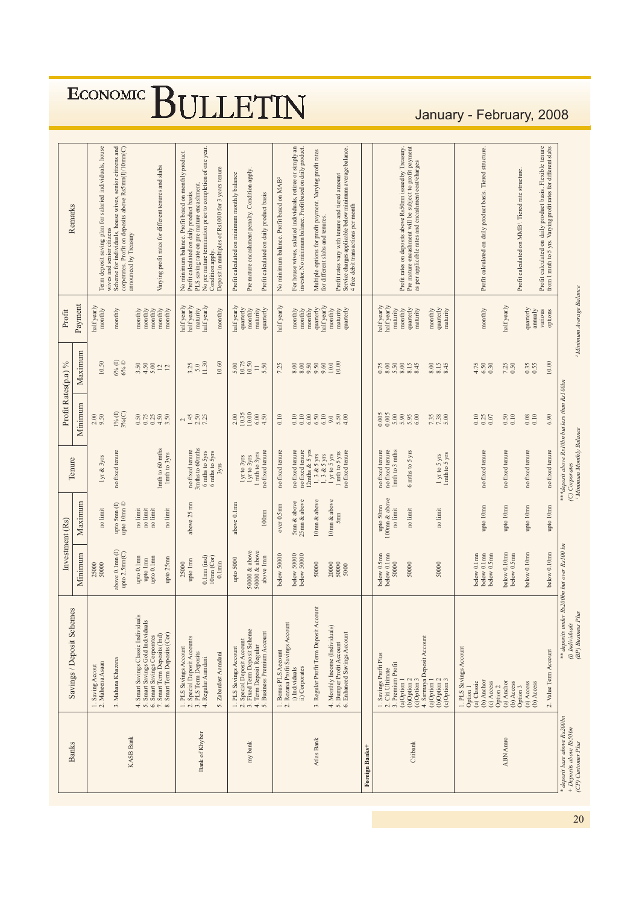ECONOMIC BULLETIN

### January - February, 2008

|                                                                               |                                                                                                                                                                                             | Investment (Rs)                                                                                |                                                                      |                                                                                                                    | Profit Rates(p.a) %                                                      |                                                                        | Profit                                                                                                         |                                                                                                                                                                                                                                                                                     |
|-------------------------------------------------------------------------------|---------------------------------------------------------------------------------------------------------------------------------------------------------------------------------------------|------------------------------------------------------------------------------------------------|----------------------------------------------------------------------|--------------------------------------------------------------------------------------------------------------------|--------------------------------------------------------------------------|------------------------------------------------------------------------|----------------------------------------------------------------------------------------------------------------|-------------------------------------------------------------------------------------------------------------------------------------------------------------------------------------------------------------------------------------------------------------------------------------|
| <b>Banks</b>                                                                  | Savings / Deposit Schemes                                                                                                                                                                   | Minimum                                                                                        | Maximum                                                              | Tenure                                                                                                             | Minimum                                                                  | Maximum                                                                | Payment                                                                                                        | Remarks                                                                                                                                                                                                                                                                             |
|                                                                               | 2. Maheena Asaan<br>Saving Accout                                                                                                                                                           | 50000<br>25000                                                                                 | no limit                                                             | lyr & 3yrs                                                                                                         | 9.50<br>2.00                                                             | 10.50                                                                  | half yearly<br>monthly                                                                                         | Term deposit saving plan for salaried individuals, house                                                                                                                                                                                                                            |
| <b>KASB Bank</b>                                                              | 3. Mahana Khazana                                                                                                                                                                           | above 0.1mn(I)<br>upto 2.5mm(C)                                                                | upto 10mm ©<br>upto 5mn (I)                                          | no fixed tenure                                                                                                    | $1\%$ (I)<br>$3%$ (C)                                                    | $6\%$ (I)<br>$6\%$ $\odot$                                             | monthly                                                                                                        | Scheme for individuals, house wives, senior citizens and<br>corporates. Profit on deposits above Rs5mn(I)/10mn(C)<br>wives and senior citizens<br>announced by Treasury                                                                                                             |
|                                                                               | Smart Savings Classic Individuals<br>4. Smart Savings Classic Individuals<br>5. Smart Savings Gold Individuals<br>7. Smart Team Beposits (Ind)<br>8. Smart Term Deposits (Cor)              | $\begin{array}{c} \text{upto 0.1mm} \\ \text{upto 1mm} \end{array}$<br>upto 0.1mn<br>upto 25mn | no limit<br>$\mathop{\rm no}\nolimits$ limit<br>no limit<br>no limit | 1mth to 60 mths<br>1mth to 3yrs                                                                                    | 0.50<br>$4.50$<br>3.50<br>$0.75$<br>$0.25$                               | 3.50<br>$4.50$<br>5.00<br>$\frac{12}{12}$                              | monthly<br>monthly<br>monthly<br>$\begin{array}{c}\text{mondly}\\ \text{mondly}\end{array}$                    | Varying profit rates for different tenures and slabs                                                                                                                                                                                                                                |
| Bank of Khyber                                                                | 1. PLS Savings Account<br>2. Special Deposit Accounts<br>3. PLS Term Deposits<br>5. Zabardast Aamdani<br>4. Regular Aamdani                                                                 | $0.1$ mn $(ind)$<br>10mm (Cor)<br>upto 1mn<br>$0.1$ min<br>25000                               | above 25 mn                                                          | 3mths to 60mths<br>no fixed tenure<br>6 mths to 5yrs<br>6 mths to 5yrs<br>3yrs                                     | $245$<br>$145$<br>$7.50$<br>$7.5$                                        | 11.30<br>10.60<br>$3.25$<br>5.0                                        | half yearly<br>nalf yearly<br>half yearly<br>maturity<br>monthly                                               | No pre mature termination prior to completion of one year.<br>No minimum balance. Profit based on monthly product<br>Deposit in multiples of Rs1000 for 3 years tenure<br>PLS saving rate on pre mature encashment.<br>Profit calculated on daily product basis<br>Condition apply. |
| my bank                                                                       | 2. Special Deposit Account<br>3. Fixed Term Deposit Scheme<br>4. Term Deposit Regular<br>5. Business Premium Account<br>1. PLS Savings Account                                              | 50000 & above<br>50000 & above<br>above 1mn<br>upto 5000                                       | above 0.1mm<br>$100$ mn                                              | no fixed tenure<br>1 mth to 3yrs<br>lyr to 3yrs<br>lyr to 3yrs                                                     | $\frac{10.35}{10.00}$<br>$6.00$<br>4.50<br>2.00                          | 10.75<br>10.50<br>5.50<br>5.00<br>$\equiv$                             | half yearly<br>quarterly<br>maturity<br>quarterly<br>monthly                                                   | Pre mature encashment penalty. Condition apply.<br>Profit calculated on minimum monthly balance<br>Profit calculated on daily product basis                                                                                                                                         |
|                                                                               | 1. Bonus PLS Account<br>2. Rozana Profit Savings Account<br>i) Individuals                                                                                                                  | below 50000                                                                                    | over 0.5mn                                                           | no fixed tenure                                                                                                    | 0.10                                                                     | 7.25                                                                   | half yearly                                                                                                    | No minimum balance. Profit based on MAB <sup>2</sup>                                                                                                                                                                                                                                |
|                                                                               | ii) Corporates                                                                                                                                                                              | below 50000<br>below 50000                                                                     | 25mm & above<br>5mm & above                                          | $\footnotesize\begin{array}{c}\n$ no fixed tenure $\footnotesize\begin{array}{c}\n$ no fixed tenure                |                                                                          |                                                                        | $\begin{array}{c}\text{monthy}\\ \text{monthy}\end{array}$                                                     | For house wives, salaried individuals, retiree or simply an<br>investor. No minimum balance. Profit based on daily product.                                                                                                                                                         |
| Atlas Bank                                                                    | 3. Regular Profit Term Deposit Account<br>4. Monthly Income (Individuals)<br>5. Bumper Profit Account<br>6. Enhanced Savines Account<br>Enhanced Savings Account                            | 50000<br>20000<br>50000<br>5000                                                                | 10mm & above<br>10mm & above<br>5 <sub>mn</sub>                      | 12mths & 5 yrs<br>no fixed tenure<br>1 mth to 5 yrs<br>$1, 3 & 65$ yrs<br>$1, 3 & 5$ yrs<br>1 yr to 5 yrs          | $5.50$<br>$4.00$<br>9.0                                                  | 10.00<br>$10.0\,$<br>8.88888                                           | half yearly<br>quarterly<br>maturity<br>quarterly<br>monthly<br>monthly                                        | Service charges applicable below minimum average balance.<br>Multiple options for profit payment. Varying profit rates<br>Profit rates vary with tenure and tiered amount<br>4 free debit transactions per month<br>for different slabs and tenures.                                |
| Foreign Banks+                                                                |                                                                                                                                                                                             |                                                                                                |                                                                      |                                                                                                                    |                                                                          |                                                                        |                                                                                                                |                                                                                                                                                                                                                                                                                     |
| Citibank                                                                      | 4. Sarmaya Deposit Account<br>1. Savings Profit Plus<br>2. Citi Ultimate<br>3. Premium Profit<br>(b)Option 2<br>(b)Option $2$<br>(c)Option $3$<br>(c)Option 3<br>(a)Option 1<br>(a)Option 1 | $below 0.5mm$ below $0.1mm$<br>50000<br>50000<br>50000                                         | 100mn & above<br>upto 50mm<br>no limit<br>no limit<br>no limit       | no fixed tenure<br>1mth to 3 mths<br>no fixed tenure<br>6 mths to 5 yrs<br>$1$ yr to $5$ yrs<br>$1$ mth to $5$ yrs | 0.005<br>0.005<br>5.00<br>$5.90$<br>$5.95$<br>$6.00$<br>$7.38$<br>$7.38$ | $0.75$<br>$8.00$<br>$8.50$<br>$8.00$<br>$8.15$<br>8.45<br>8.00<br>8.15 | half yearly<br>half yearly<br>quarterly<br>maturity<br>quarterly<br>maturity<br>monthly<br>maturity<br>monthly | Profit rates on deposits above Rs50nm issued by Treasury.<br>Pre mature encashment will be subject to profit payment<br>as per applicable rates and encashment cost/charges                                                                                                         |
| <b>ABN</b> Amro                                                               | 1. PLS Savings Account<br>(b) Anchor<br>(a) Classic<br>(c) Access<br>(a) Anchor<br>(b) Access<br>Option <sub>2</sub><br>Option 1                                                            | below 0.10mm<br>below 0.1mn<br>below 0.1mm<br>below 0.5mm<br>below 0.5mm                       | upto 10mm<br>upto 10mn                                               | no fixed tenure<br>no fixed tenure                                                                                 | 0.10<br>0.50<br>0.10<br>0.25<br>0.07                                     | $6.50$<br>$0.30$<br>$7.25$<br>0.50<br>4.75                             | half yearly<br>monthly                                                                                         | Profit calculated on daily product basis. Tiered structure.                                                                                                                                                                                                                         |
|                                                                               | 2. Value Term Account<br>(a) Access<br>(b) Access<br>Option 3                                                                                                                               | below 0.10mm<br>below 0.10mm                                                                   | upto 10mn<br>upto 10mm                                               | no fixed tenure<br>no fixed tenure                                                                                 | 0.10<br>6.90<br>0.08                                                     | 10.00<br>0.35<br>0.55                                                  | quarterly<br>annualy<br>various                                                                                | Profit calculated on daily product basis. Flexible tenure<br>from 1 mnth to 5 yrs. Varying profit rates for different slabs<br>Profit calculated on MMB <sup>1</sup> . Tiered rate structure.                                                                                       |
| * deposit base above Rs200bn<br>+ Deposits above Rs50bn<br>(CP) Customer Plus | ** deposits under Rs 200bn but over Rs100 bn<br>(BP) Business Plus<br>(I) Individuals                                                                                                       |                                                                                                |                                                                      | <sup>1</sup> Minimum Monthly Balance<br>(C) Corporates                                                             | ***deposit above Rs10bn but less than Rs100bn                            |                                                                        | <sup>2</sup> Minimum Average Balance                                                                           |                                                                                                                                                                                                                                                                                     |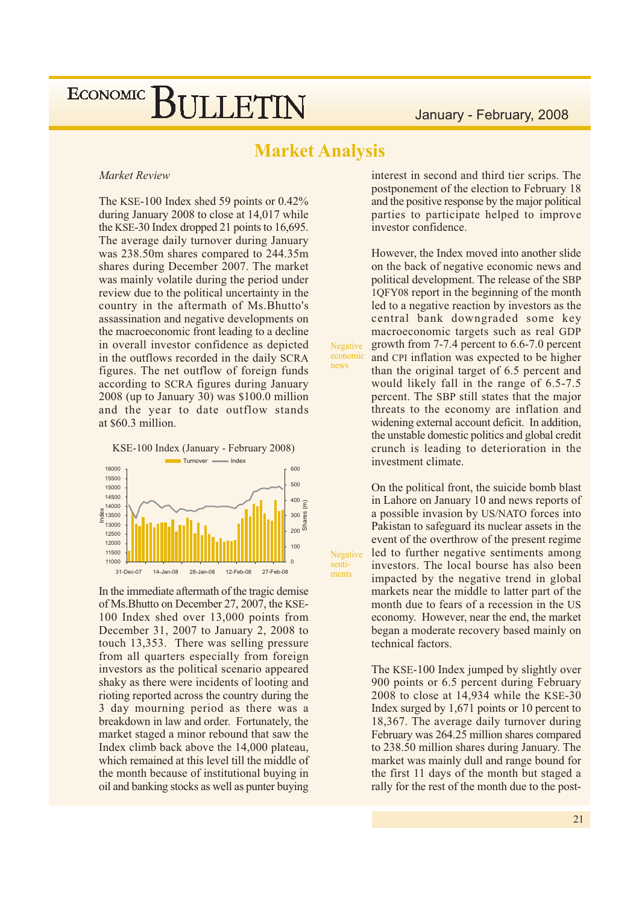### **Market Analysis**

Negative economic

Negative

senti-

ments

news

#### Market Review

The KSE-100 Index shed 59 points or  $0.42\%$ during January 2008 to close at 14,017 while the KSE-30 Index dropped 21 points to 16,695. The average daily turnover during January was 238.50m shares compared to 244.35m shares during December 2007. The market was mainly volatile during the period under review due to the political uncertainty in the country in the aftermath of Ms. Bhutto's assassination and negative developments on the macroeconomic front leading to a decline in overall investor confidence as depicted in the outflows recorded in the daily SCRA figures. The net outflow of foreign funds according to SCRA figures during January  $2008$  (up to January 30) was \$100.0 million and the year to date outflow stands at \$60.3 million.



In the immediate aftermath of the tragic demise of Ms. Bhutto on December 27, 2007, the KSE-100 Index shed over 13,000 points from December 31, 2007 to January 2, 2008 to touch 13,353. There was selling pressure from all quarters especially from foreign investors as the political scenario appeared shaky as there were incidents of looting and rioting reported across the country during the 3 day mourning period as there was a breakdown in law and order. Fortunately, the market staged a minor rebound that saw the Index climb back above the 14,000 plateau, which remained at this level till the middle of the month because of institutional buying in oil and banking stocks as well as punter buying

interest in second and third tier scrips. The postponement of the election to February 18 and the positive response by the major political parties to participate helped to improve investor confidence.

However, the Index moved into another slide on the back of negative economic news and political development. The release of the SBP 1QFY08 report in the beginning of the month led to a negative reaction by investors as the central bank downgraded some key macroeconomic targets such as real GDP growth from 7-7.4 percent to 6.6-7.0 percent and CPI inflation was expected to be higher than the original target of 6.5 percent and would likely fall in the range of 6.5-7.5 percent. The SBP still states that the major threats to the economy are inflation and widening external account deficit. In addition, the unstable domestic politics and global credit crunch is leading to deterioration in the investment climate.

On the political front, the suicide bomb blast in Lahore on January 10 and news reports of a possible invasion by US/NATO forces into Pakistan to safeguard its nuclear assets in the event of the overthrow of the present regime led to further negative sentiments among investors. The local bourse has also been impacted by the negative trend in global markets near the middle to latter part of the month due to fears of a recession in the US economy. However, near the end, the market began a moderate recovery based mainly on technical factors.

The KSE-100 Index jumped by slightly over 900 points or 6.5 percent during February  $2008$  to close at 14,934 while the KSE-30 Index surged by  $1,671$  points or 10 percent to 18,367. The average daily turnover during February was 264.25 million shares compared to 238.50 million shares during January. The market was mainly dull and range bound for the first 11 days of the month but staged a rally for the rest of the month due to the post-

 $21$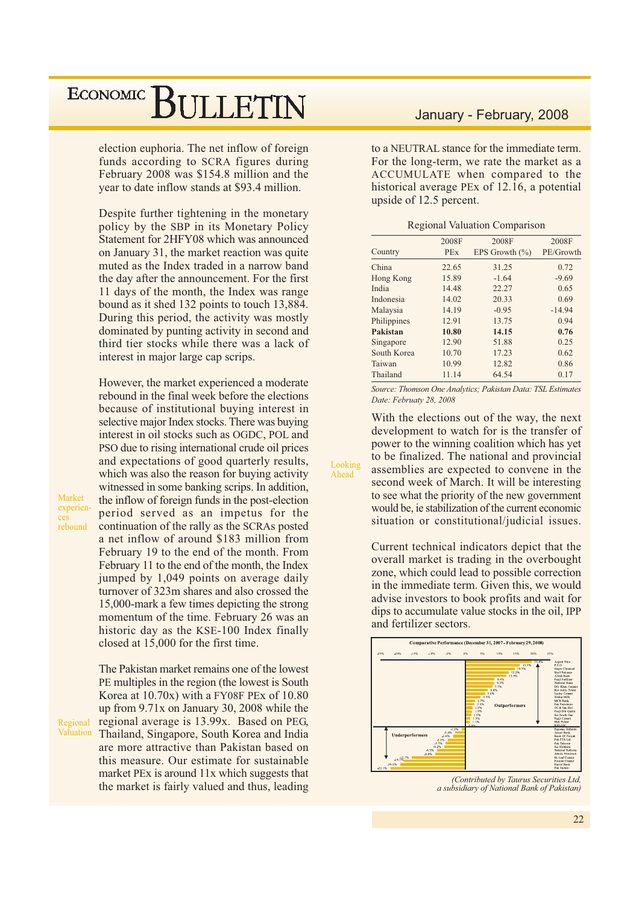election euphoria. The net inflow of foreign funds according to SCRA figures during February 2008 was \$154.8 million and the year to date inflow stands at \$93.4 million.

Despite further tightening in the monetary policy by the SBP in its Monetary Policy Statement for 2HFY08 which was announced on January 31, the market reaction was quite muted as the Index traded in a narrow band the day after the announcement. For the first 11 days of the month, the Index was range bound as it shed 132 points to touch 13,884. During this period, the activity was mostly dominated by punting activity in second and third tier stocks while there was a lack of interest in major large cap scrips.

However, the market experienced a moderate rebound in the final week before the elections because of institutional buying interest in selective major Index stocks. There was buying interest in oil stocks such as OGDC, POL and PSO due to rising international crude oil prices and expectations of good quarterly results, which was also the reason for buying activity witnessed in some banking scrips. In addition, the inflow of foreign funds in the post-election period served as an impetus for the continuation of the rally as the SCRAs posted a net inflow of around \$183 million from February 19 to the end of the month. From February 11 to the end of the month, the Index jumped by 1,049 points on average daily turnover of 323m shares and also crossed the 15,000-mark a few times depicting the strong momentum of the time. February 26 was an historic day as the KSE-100 Index finally closed at 15,000 for the first time.

The Pakistan market remains one of the lowest PE multiples in the region (the lowest is South) Korea at  $10.70x$ ) with a FY08F PEx of  $10.80$ up from 9.71x on January 30, 2008 while the Regional regional average is 13.99x. Based on PEG, Thailand, Singapore, South Korea and India are more attractive than Pakistan based on this measure. Our estimate for sustainable market PEx is around 11x which suggests that the market is fairly valued and thus, leading

#### January - February, 2008

to a NEUTRAL stance for the immediate term. For the long-term, we rate the market as a ACCUMULATE when compared to the historical average PEx of 12.16, a potential upside of 12.5 percent.

|  | <b>Regional Valuation Comparison</b> |
|--|--------------------------------------|
|  |                                      |

|             | 2008F      | 2008F              | 2008F     |
|-------------|------------|--------------------|-----------|
| Country     | <b>PEx</b> | EPS Growth $(\% )$ | PE/Growth |
| China       | 22.65      | 31.25              | 0.72      |
| Hong Kong   | 15.89      | $-1.64$            | $-9.69$   |
| India       | 14.48      | 22.27              | 0.65      |
| Indonesia   | 14.02      | 20.33              | 0.69      |
| Malaysia    | 14.19      | $-0.95$            | $-14.94$  |
| Philippines | 12.91      | 13.75              | 0.94      |
| Pakistan    | 10.80      | 14.15              | 0.76      |
| Singapore   | 12.90      | 51.88              | 0.25      |
| South Korea | 10.70      | 17.23              | 0.62      |
| Taiwan      | 10.99      | 12.82              | 0.86      |
| Thailand    | 11.14      | 64.54              | 0.17      |

Source: Thomson One Analytics; Pakistan Data: TSL Estimates Date: Februaty 28, 2008

With the elections out of the way, the next development to watch for is the transfer of power to the winning coalition which has yet to be finalized. The national and provincial assemblies are expected to convene in the second week of March. It will be interesting to see what the priority of the new government would be, ie stabilization of the current economic situation or constitutional/judicial issues.

Looking

Ahead

Current technical indicators depict that the overall market is trading in the overbought zone, which could lead to possible correction in the immediate term. Given this, we would advise investors to book profits and wait for dips to accumulate value stocks in the oil, IPP and fertilizer sectors.



(Contributed by Taurus Securities Ltd, a subsidiary of National Bank of Pakistan)

Market experienrebound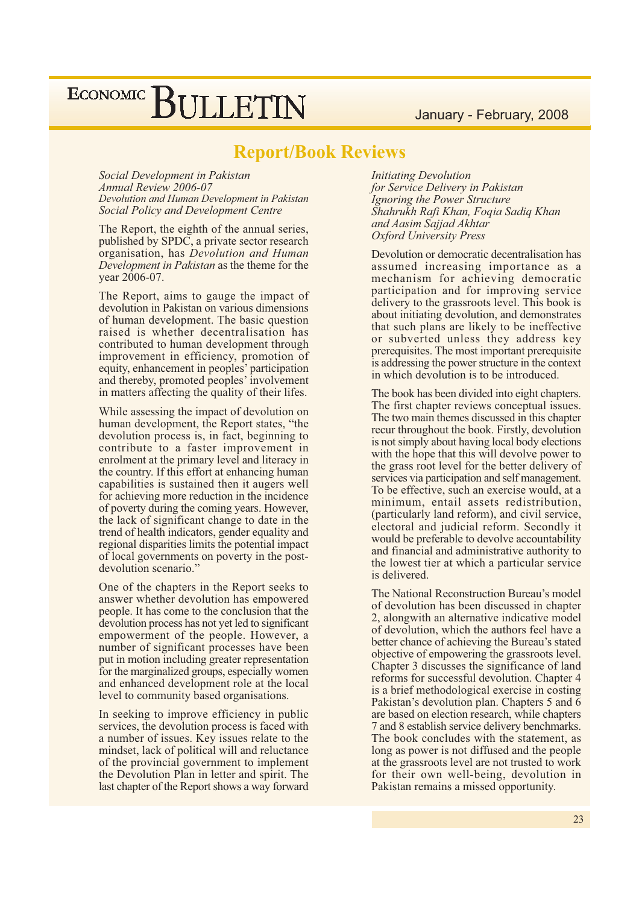#### January - February, 2008

## ECONOMIC BULLETIN

### **Report/Book Reviews**

Social Development in Pakistan Annual Review 2006-07 Devolution and Human Development in Pakistan Social Policy and Development Centre

The Report, the eighth of the annual series, published by SPDC, a private sector research organisation, has Devolution and Human Development in Pakistan as the theme for the year 2006-07.

The Report, aims to gauge the impact of devolution in Pakistan on various dimensions of human development. The basic question raised is whether decentralisation has contributed to human development through improvement in efficiency, promotion of equity, enhancement in peoples' participation and thereby, promoted peoples' involvement in matters affecting the quality of their lifes.

While assessing the impact of devolution on human development, the Report states, "the devolution process is, in fact, beginning to contribute to a faster improvement in enrolment at the primary level and literacy in the country. If this effort at enhancing human capabilities is sustained then it augers well for achieving more reduction in the incidence of poverty during the coming years. However, the lack of significant change to date in the trend of health indicators, gender equality and regional disparities limits the potential impact of local governments on poverty in the postdevolution scenario."

One of the chapters in the Report seeks to answer whether devolution has empowered people. It has come to the conclusion that the devolution process has not yet led to significant empowerment of the people. However, a number of significant processes have been put in motion including greater representation for the marginalized groups, especially women and enhanced development role at the local level to community based organisations.

In seeking to improve efficiency in public services, the devolution process is faced with a number of issues. Key issues relate to the mindset, lack of political will and reluctance of the provincial government to implement the Devolution Plan in letter and spirit. The last chapter of the Report shows a way forward

**Initiating Devolution** for Service Delivery in Pakistan Ignoring the Power Structure Shahrukh Rafi Khan, Foqia Sadiq Khan and Aasim Sajjad Akhtar **Oxford University Press** 

Devolution or democratic decentralisation has assumed increasing importance as a mechanism for achieving democratic participation and for improving service delivery to the grassroots level. This book is about initiating devolution, and demonstrates that such plans are likely to be ineffective or subverted unless they address key prerequisites. The most important prerequisite is addressing the power structure in the context in which devolution is to be introduced.

The book has been divided into eight chapters. The first chapter reviews conceptual issues. The two main themes discussed in this chapter recur throughout the book. Firstly, devolution is not simply about having local body elections with the hope that this will devolve power to the grass root level for the better delivery of services via participation and self management. To be effective, such an exercise would, at a minimum, entail assets redistribution, (particularly land reform), and civil service, electoral and judicial reform. Secondly it would be preferable to devolve accountability and financial and administrative authority to the lowest tier at which a particular service is delivered.

The National Reconstruction Bureau's model of devolution has been discussed in chapter 2, alongwith an alternative indicative model of devolution, which the authors feel have a better chance of achieving the Bureau's stated objective of empowering the grassroots level. Chapter 3 discusses the significance of land reforms for successful devolution. Chapter 4 is a brief methodological exercise in costing Pakistan's devolution plan. Chapters 5 and 6 are based on election research, while chapters 7 and 8 establish service delivery benchmarks. The book concludes with the statement, as long as power is not diffused and the people at the grassroots level are not trusted to work for their own well-being, devolution in Pakistan remains a missed opportunity.